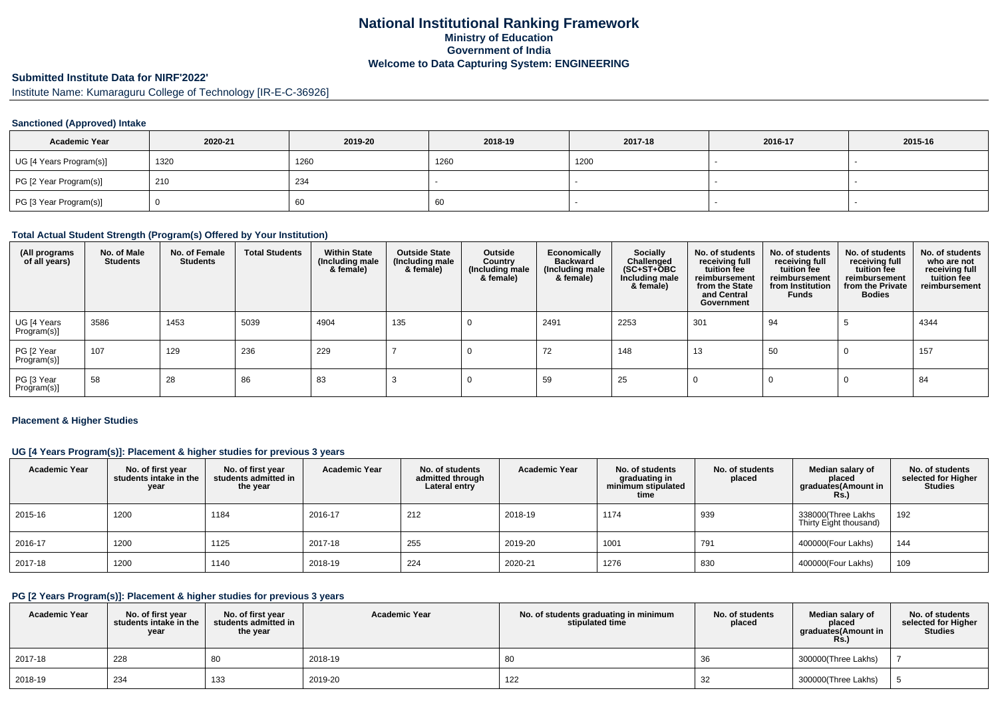## **National Institutional Ranking FrameworkMinistry of Education Government of IndiaWelcome to Data Capturing System: ENGINEERING**

# **Submitted Institute Data for NIRF'2022'**

Institute Name: Kumaraguru College of Technology [IR-E-C-36926]

### **Sanctioned (Approved) Intake**

| <b>Academic Year</b>    | 2020-21 | 2019-20 | 2018-19 | 2017-18 | 2016-17 | 2015-16 |
|-------------------------|---------|---------|---------|---------|---------|---------|
| UG [4 Years Program(s)] | 1320    | 1260    | 1260    | 1200    |         |         |
| PG [2 Year Program(s)]  | 210     | 234     |         |         |         |         |
| PG [3 Year Program(s)]  |         | 60      | 60      |         |         |         |

### **Total Actual Student Strength (Program(s) Offered by Your Institution)**

| (All programs<br>of all years) | No. of Male<br><b>Students</b> | No. of Female<br><b>Students</b> | <b>Total Students</b> | <b>Within State</b><br>(Including male<br>& female) | <b>Outside State</b><br>(Including male<br>& female) | Outside<br>Country<br>(Including male<br>& female) | Economically<br><b>Backward</b><br>(Including male<br>& female) | Socially<br>Challenged<br>$(SC+ST+\overline{O}BC)$<br>Including male<br>& female) | No. of students<br>receiving full<br>tuition fee<br>reimbursement<br>from the State<br>and Central<br>Government | No. of students<br>receiving full<br>tuition fee<br>reimbursement<br>from Institution<br><b>Funds</b> | No. of students<br>receiving full<br>tuition fee<br>reimbursement<br>from the Private<br><b>Bodies</b> | No. of students<br>who are not<br>receiving full<br>tuition fee<br>reimbursement |
|--------------------------------|--------------------------------|----------------------------------|-----------------------|-----------------------------------------------------|------------------------------------------------------|----------------------------------------------------|-----------------------------------------------------------------|-----------------------------------------------------------------------------------|------------------------------------------------------------------------------------------------------------------|-------------------------------------------------------------------------------------------------------|--------------------------------------------------------------------------------------------------------|----------------------------------------------------------------------------------|
| UG [4 Years<br>Program(s)]     | 3586                           | 1453                             | 5039                  | 4904                                                | 135                                                  |                                                    | 2491                                                            | 2253                                                                              | 301                                                                                                              | 94                                                                                                    |                                                                                                        | 4344                                                                             |
| PG [2 Year<br>Program(s)]      | 107                            | 129                              | 236                   | 229                                                 |                                                      |                                                    | 72                                                              | 148                                                                               | 13                                                                                                               | 50                                                                                                    |                                                                                                        | 157                                                                              |
| PG [3 Year<br>Program(s)]      | 58                             | 28                               | 86                    | 83                                                  |                                                      |                                                    | 59                                                              | 25                                                                                |                                                                                                                  |                                                                                                       |                                                                                                        | 84                                                                               |

#### **Placement & Higher Studies**

## **UG [4 Years Program(s)]: Placement & higher studies for previous 3 years**

| <b>Academic Year</b> | No. of first year<br>students intake in the<br>year | No. of first year<br>students admitted in<br>the year | <b>Academic Year</b> | No. of students<br>admitted through<br>Lateral entry | <b>Academic Year</b> | No. of students<br>graduating in<br>minimum stipulated<br>time | No. of students<br>placed | Median salary of<br>placed<br>graduates(Amount in<br>Rs. | No. of students<br>selected for Higher<br><b>Studies</b> |
|----------------------|-----------------------------------------------------|-------------------------------------------------------|----------------------|------------------------------------------------------|----------------------|----------------------------------------------------------------|---------------------------|----------------------------------------------------------|----------------------------------------------------------|
| 2015-16              | 1200                                                | 1184                                                  | 2016-17              | 212                                                  | 2018-19              | 1174                                                           | 939                       | 338000(Three Lakhs<br>Thirty Eight thousand)             | 192                                                      |
| 2016-17              | 1200                                                | 1125                                                  | 2017-18              | 255                                                  | 2019-20              | 1001                                                           | 791                       | 400000(Four Lakhs)                                       | 144                                                      |
| 2017-18              | 1200                                                | 1140                                                  | 2018-19              | 224                                                  | 2020-21              | 1276                                                           | 830                       | 400000(Four Lakhs)                                       | 109                                                      |

# **PG [2 Years Program(s)]: Placement & higher studies for previous 3 years**

| <b>Academic Year</b> | No. of first vear<br>students intake in the<br>year | No. of first year<br>students admitted in<br>the year | <b>Academic Year</b> | No. of students graduating in minimum<br>stipulated time | No. of students<br>placed | Median salary of<br>placed<br>graduates(Amount in<br>Rs. | No. of students<br>selected for Higher<br><b>Studies</b> |
|----------------------|-----------------------------------------------------|-------------------------------------------------------|----------------------|----------------------------------------------------------|---------------------------|----------------------------------------------------------|----------------------------------------------------------|
| 2017-18              | 228                                                 |                                                       | 2018-19              | 80                                                       | 36                        | 300000(Three Lakhs)                                      |                                                          |
| 2018-19              | 234                                                 | 133                                                   | 2019-20              | 122                                                      | 32                        | 300000(Three Lakhs)                                      |                                                          |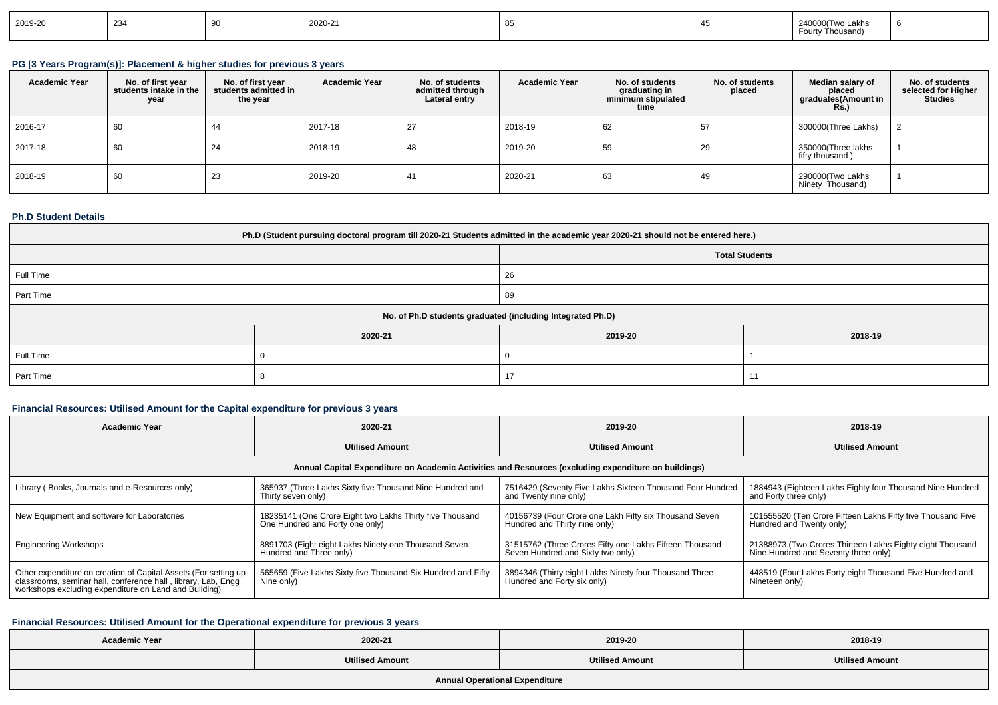| 2019-20 | 234 |  | 2020-21 |  |  | ∟akhr<br>$\overline{a}$<br>www. |  |
|---------|-----|--|---------|--|--|---------------------------------|--|
|---------|-----|--|---------|--|--|---------------------------------|--|

## **PG [3 Years Program(s)]: Placement & higher studies for previous 3 years**

| <b>Academic Year</b> | No. of first year<br>students intake in the<br>year | No. of first vear<br>students admitted in<br>the year | <b>Academic Year</b> | No. of students<br>admitted through<br>Lateral entry | <b>Academic Year</b> | No. of students<br>graduating in<br>minimum stipulated<br>time | No. of students<br>placed | Median salary of<br>placed<br>graduates(Amount in<br><b>Rs.)</b> | No. of students<br>selected for Higher<br><b>Studies</b> |
|----------------------|-----------------------------------------------------|-------------------------------------------------------|----------------------|------------------------------------------------------|----------------------|----------------------------------------------------------------|---------------------------|------------------------------------------------------------------|----------------------------------------------------------|
| 2016-17              | 60                                                  | 44                                                    | 2017-18              | 27                                                   | 2018-19              | 62                                                             | 57                        | 300000(Three Lakhs)                                              |                                                          |
| 2017-18              | 60                                                  | 24                                                    | 2018-19              | 48                                                   | 2019-20              | 59                                                             | 29                        | 350000(Three lakhs<br>fifty thousand)                            |                                                          |
| 2018-19              | 60                                                  | 23                                                    | 2019-20              | 41                                                   | 2020-21              | 63                                                             | 49                        | 290000(Two Lakhs<br>Ninety Thousand)                             |                                                          |

#### **Ph.D Student Details**

| Ph.D (Student pursuing doctoral program till 2020-21 Students admitted in the academic year 2020-21 should not be entered here.) |          |                                                            |         |  |  |  |
|----------------------------------------------------------------------------------------------------------------------------------|----------|------------------------------------------------------------|---------|--|--|--|
| <b>Total Students</b>                                                                                                            |          |                                                            |         |  |  |  |
| Full Time                                                                                                                        |          | 26                                                         |         |  |  |  |
| Part Time                                                                                                                        |          | 89                                                         |         |  |  |  |
|                                                                                                                                  |          | No. of Ph.D students graduated (including Integrated Ph.D) |         |  |  |  |
|                                                                                                                                  | 2020-21  | 2019-20                                                    | 2018-19 |  |  |  |
| Full Time                                                                                                                        |          |                                                            |         |  |  |  |
| Part Time                                                                                                                        | 17<br>-1 |                                                            |         |  |  |  |

### **Financial Resources: Utilised Amount for the Capital expenditure for previous 3 years**

| <b>Academic Year</b>                                                                                                                                                                      | 2020-21                                                                                     | 2019-20                                                                                              | 2018-19                                                                                           |  |
|-------------------------------------------------------------------------------------------------------------------------------------------------------------------------------------------|---------------------------------------------------------------------------------------------|------------------------------------------------------------------------------------------------------|---------------------------------------------------------------------------------------------------|--|
|                                                                                                                                                                                           | <b>Utilised Amount</b>                                                                      | <b>Utilised Amount</b>                                                                               | <b>Utilised Amount</b>                                                                            |  |
|                                                                                                                                                                                           |                                                                                             | Annual Capital Expenditure on Academic Activities and Resources (excluding expenditure on buildings) |                                                                                                   |  |
| Library (Books, Journals and e-Resources only)                                                                                                                                            | 365937 (Three Lakhs Sixty five Thousand Nine Hundred and<br>Thirty seven only)              | 7516429 (Seventy Five Lakhs Sixteen Thousand Four Hundred<br>and Twenty nine only)                   | 1884943 (Eighteen Lakhs Eighty four Thousand Nine Hundred<br>and Forty three only)                |  |
| New Equipment and software for Laboratories                                                                                                                                               | 18235141 (One Crore Eight two Lakhs Thirty five Thousand<br>One Hundred and Forty one only) | 40156739 (Four Crore one Lakh Fifty six Thousand Seven<br>Hundred and Thirty nine only)              | 101555520 (Ten Crore Fifteen Lakhs Fifty five Thousand Five<br>Hundred and Twenty only)           |  |
| <b>Engineering Workshops</b>                                                                                                                                                              | 8891703 (Eight eight Lakhs Ninety one Thousand Seven<br>Hundred and Three only)             | 31515762 (Three Crores Fifty one Lakhs Fifteen Thousand<br>Seven Hundred and Sixty two only)         | 21388973 (Two Crores Thirteen Lakhs Eighty eight Thousand<br>Nine Hundred and Seventy three only) |  |
| Other expenditure on creation of Capital Assets (For setting up<br>classrooms, seminar hall, conference hall, library, Lab, Engq<br>workshops excluding expenditure on Land and Building) | 565659 (Five Lakhs Sixty five Thousand Six Hundred and Fifty<br>Nine only)                  | 3894346 (Thirty eight Lakhs Ninety four Thousand Three<br>Hundred and Forty six only)                | 448519 (Four Lakhs Forty eight Thousand Five Hundred and<br>Nineteen only)                        |  |

### **Financial Resources: Utilised Amount for the Operational expenditure for previous 3 years**

| <b>Academic Year</b> | 2020-21                | 2019-20                | 2018-19                |
|----------------------|------------------------|------------------------|------------------------|
|                      | <b>Utilised Amount</b> | <b>Utilised Amount</b> | <b>Utilised Amount</b> |
|                      |                        |                        |                        |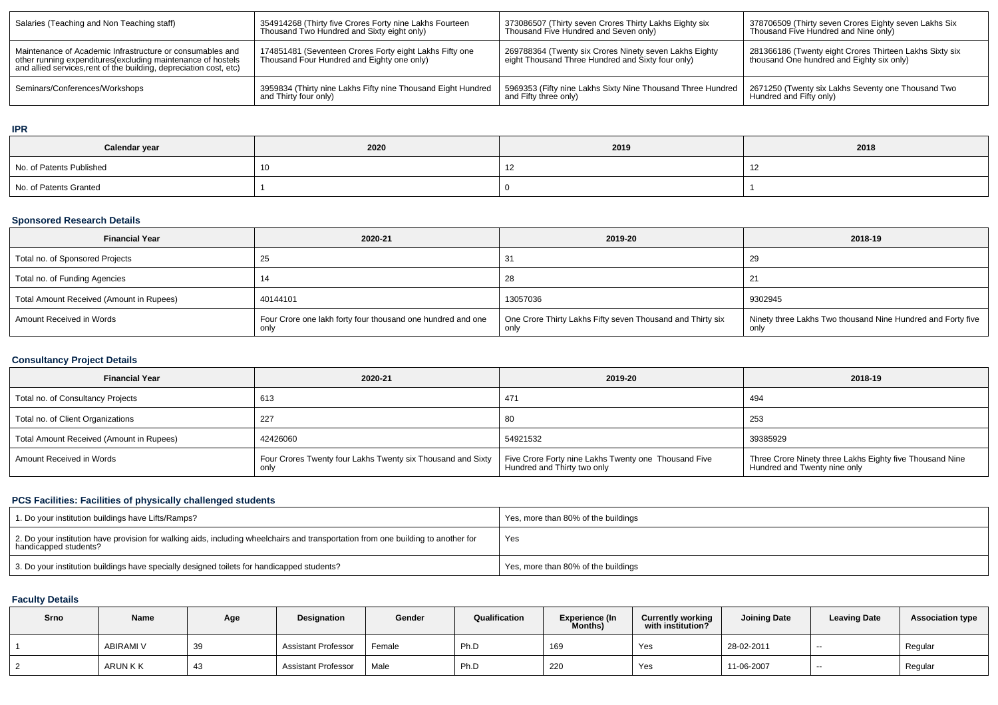| Salaries (Teaching and Non Teaching staff)                                                                                                                                                      | 354914268 (Thirty five Crores Forty nine Lakhs Fourteen<br>Thousand Two Hundred and Sixty eight only) | 373086507 (Thirty seven Crores Thirty Lakhs Eighty six<br>Thousand Five Hundred and Seven only)             | 378706509 (Thirty seven Crores Eighty seven Lakhs Six<br>Thousand Five Hundred and Nine only)        |
|-------------------------------------------------------------------------------------------------------------------------------------------------------------------------------------------------|-------------------------------------------------------------------------------------------------------|-------------------------------------------------------------------------------------------------------------|------------------------------------------------------------------------------------------------------|
| Maintenance of Academic Infrastructure or consumables and<br>other running expenditures (excluding maintenance of hostels<br>and allied services, rent of the building, depreciation cost, etc) | 174851481 (Seventeen Crores Forty eight Lakhs Fifty one<br>Thousand Four Hundred and Eighty one only) | 269788364 (Twenty six Crores Ninety seven Lakhs Eighty<br>eight Thousand Three Hundred and Sixty four only) | 281366186 (Twenty eight Crores Thirteen Lakhs Sixty six<br>thousand One hundred and Eighty six only) |
| Seminars/Conferences/Workshops                                                                                                                                                                  | 3959834 (Thirty nine Lakhs Fifty nine Thousand Eight Hundred<br>and Thirty four only)                 | 5969353 (Fifty nine Lakhs Sixty Nine Thousand Three Hundred  <br>and Fifty three only)                      | 2671250 (Twenty six Lakhs Seventy one Thousand Two<br>Hundred and Fifty only)                        |

### **IPR**

| Calendar year            | 2020 | 2019 | 2018 |
|--------------------------|------|------|------|
| No. of Patents Published |      |      |      |
| No. of Patents Granted   |      |      |      |

## **Sponsored Research Details**

| <b>Financial Year</b>                    | 2020-21                                                             | 2019-20                                                            | 2018-19                                                            |
|------------------------------------------|---------------------------------------------------------------------|--------------------------------------------------------------------|--------------------------------------------------------------------|
| Total no. of Sponsored Projects          | ںے                                                                  |                                                                    | 29                                                                 |
| Total no. of Funding Agencies            | 14                                                                  | 28                                                                 | -21                                                                |
| Total Amount Received (Amount in Rupees) | 40144101                                                            | 13057036                                                           | 9302945                                                            |
| Amount Received in Words                 | Four Crore one lakh forty four thousand one hundred and one<br>only | One Crore Thirty Lakhs Fifty seven Thousand and Thirty six<br>only | Ninety three Lakhs Two thousand Nine Hundred and Forty five<br>onl |

## **Consultancy Project Details**

| <b>Financial Year</b>                    | 2020-21                                                             | 2019-20                                                                             | 2018-19                                                                                  |
|------------------------------------------|---------------------------------------------------------------------|-------------------------------------------------------------------------------------|------------------------------------------------------------------------------------------|
| Total no. of Consultancy Projects        | 613                                                                 | 471                                                                                 | 494                                                                                      |
| Total no. of Client Organizations        | 227                                                                 | 80                                                                                  | 253                                                                                      |
| Total Amount Received (Amount in Rupees) | 42426060                                                            | 54921532                                                                            | 39385929                                                                                 |
| Amount Received in Words                 | Four Crores Twenty four Lakhs Twenty six Thousand and Sixty<br>only | Five Crore Forty nine Lakhs Twenty one Thousand Five<br>Hundred and Thirty two only | Three Crore Ninety three Lakhs Eighty five Thousand Nine<br>Hundred and Twenty nine only |

## **PCS Facilities: Facilities of physically challenged students**

| 1. Do your institution buildings have Lifts/Ramps?                                                                                                         | Yes, more than 80% of the buildings |
|------------------------------------------------------------------------------------------------------------------------------------------------------------|-------------------------------------|
| 2. Do your institution have provision for walking aids, including wheelchairs and transportation from one building to another for<br>handicapped students? | Yes                                 |
| 3. Do your institution buildings have specially designed toilets for handicapped students?                                                                 | Yes, more than 80% of the buildings |

## **Faculty Details**

| Srno | Name      | Age | Designation                | Gender | Qualification | <b>Experience (In</b><br>Months) | <b>Currently working</b><br>with institution? | <b>Joining Date</b> | <b>Leaving Date</b> | <b>Association type</b> |
|------|-----------|-----|----------------------------|--------|---------------|----------------------------------|-----------------------------------------------|---------------------|---------------------|-------------------------|
|      | ABIRAMI V | 39  | <b>Assistant Professor</b> | Female | Ph.D          | 169                              | Yes                                           | 28-02-2011          | $- -$               | Regular                 |
|      | ARUN K K  | 43  | <b>Assistant Professor</b> | Male   | Ph.D          | 220                              | Yes                                           | 11-06-2007          | $\sim$              | Regular                 |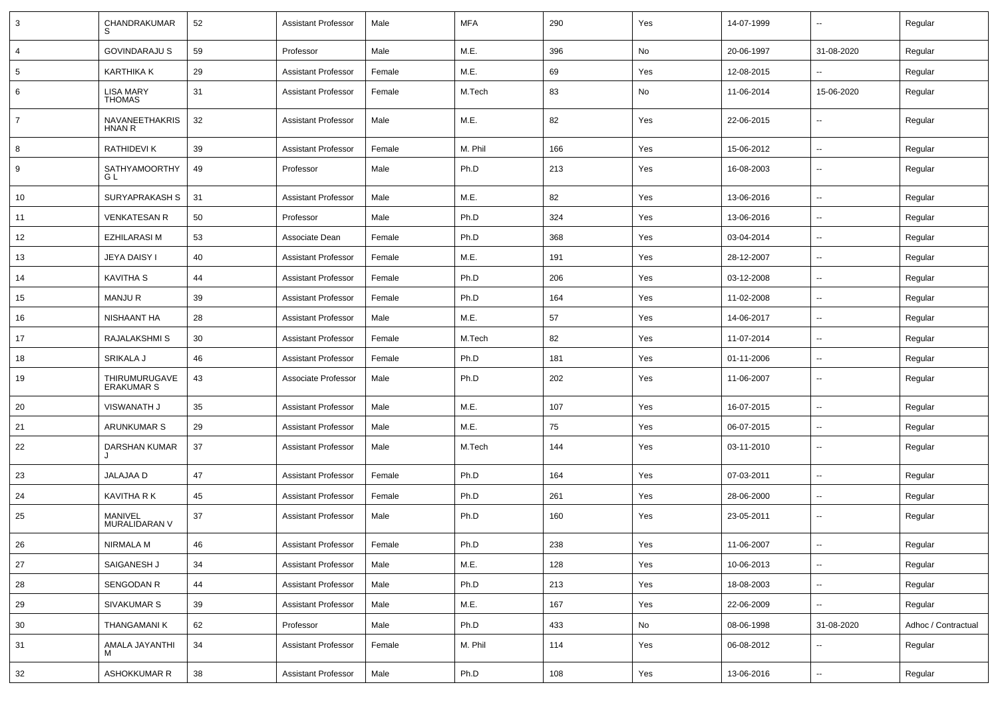| 3               | CHANDRAKUMAR                       | 52 | <b>Assistant Professor</b> | Male   | <b>MFA</b> | 290 | Yes | 14-07-1999 | $\sim$                   | Regular             |
|-----------------|------------------------------------|----|----------------------------|--------|------------|-----|-----|------------|--------------------------|---------------------|
| 4               | <b>GOVINDARAJU S</b>               | 59 | Professor                  | Male   | M.E.       | 396 | No  | 20-06-1997 | 31-08-2020               | Regular             |
| $5\phantom{.0}$ | KARTHIKA K                         | 29 | <b>Assistant Professor</b> | Female | M.E.       | 69  | Yes | 12-08-2015 | ⊷.                       | Regular             |
| 6               | <b>LISA MARY</b><br><b>THOMAS</b>  | 31 | <b>Assistant Professor</b> | Female | M.Tech     | 83  | No  | 11-06-2014 | 15-06-2020               | Regular             |
| $\overline{7}$  | NAVANEETHAKRIS<br><b>HNAN R</b>    | 32 | <b>Assistant Professor</b> | Male   | M.E.       | 82  | Yes | 22-06-2015 | ⊷.                       | Regular             |
| 8               | RATHIDEVI K                        | 39 | <b>Assistant Professor</b> | Female | M. Phil    | 166 | Yes | 15-06-2012 | $\overline{\phantom{a}}$ | Regular             |
| 9               | SATHYAMOORTHY<br>G L               | 49 | Professor                  | Male   | Ph.D       | 213 | Yes | 16-08-2003 | -−                       | Regular             |
| 10              | SURYAPRAKASH S                     | 31 | <b>Assistant Professor</b> | Male   | M.E.       | 82  | Yes | 13-06-2016 | $\overline{\phantom{a}}$ | Regular             |
| 11              | <b>VENKATESAN R</b>                | 50 | Professor                  | Male   | Ph.D       | 324 | Yes | 13-06-2016 | --                       | Regular             |
| 12              | EZHILARASI M                       | 53 | Associate Dean             | Female | Ph.D       | 368 | Yes | 03-04-2014 | $\sim$                   | Regular             |
| 13              | JEYA DAISY I                       | 40 | <b>Assistant Professor</b> | Female | M.E.       | 191 | Yes | 28-12-2007 | $\sim$                   | Regular             |
| 14              | <b>KAVITHA S</b>                   | 44 | <b>Assistant Professor</b> | Female | Ph.D       | 206 | Yes | 03-12-2008 | ⊷.                       | Regular             |
| 15              | <b>MANJUR</b>                      | 39 | <b>Assistant Professor</b> | Female | Ph.D       | 164 | Yes | 11-02-2008 | $\sim$                   | Regular             |
| 16              | NISHAANT HA                        | 28 | <b>Assistant Professor</b> | Male   | M.E.       | 57  | Yes | 14-06-2017 | $\overline{\phantom{a}}$ | Regular             |
| 17              | RAJALAKSHMI S                      | 30 | <b>Assistant Professor</b> | Female | M.Tech     | 82  | Yes | 11-07-2014 | --                       | Regular             |
| 18              | SRIKALA J                          | 46 | <b>Assistant Professor</b> | Female | Ph.D       | 181 | Yes | 01-11-2006 | ⊷.                       | Regular             |
| 19              | THIRUMURUGAVE<br><b>ERAKUMAR S</b> | 43 | Associate Professor        | Male   | Ph.D       | 202 | Yes | 11-06-2007 | $\sim$                   | Regular             |
| 20              | <b>VISWANATH J</b>                 | 35 | <b>Assistant Professor</b> | Male   | M.E.       | 107 | Yes | 16-07-2015 | $\sim$                   | Regular             |
| 21              | ARUNKUMAR S                        | 29 | <b>Assistant Professor</b> | Male   | M.E.       | 75  | Yes | 06-07-2015 | ⊷.                       | Regular             |
| 22              | DARSHAN KUMAR                      | 37 | <b>Assistant Professor</b> | Male   | M.Tech     | 144 | Yes | 03-11-2010 | ⊶.                       | Regular             |
| 23              | JALAJAA D                          | 47 | <b>Assistant Professor</b> | Female | Ph.D       | 164 | Yes | 07-03-2011 | --                       | Regular             |
| 24              | <b>KAVITHA R K</b>                 | 45 | <b>Assistant Professor</b> | Female | Ph.D       | 261 | Yes | 28-06-2000 | ⊶.                       | Regular             |
| 25              | MANIVEL<br>MURALIDARAN V           | 37 | <b>Assistant Professor</b> | Male   | Ph.D       | 160 | Yes | 23-05-2011 | Ξ.                       | Regular             |
| 26              | NIRMALA M                          | 46 | Assistant Professor        | Female | Ph.D       | 238 | Yes | 11-06-2007 |                          | Regular             |
| 27              | SAIGANESH J                        | 34 | <b>Assistant Professor</b> | Male   | M.E.       | 128 | Yes | 10-06-2013 | ш.                       | Regular             |
| 28              | SENGODAN R                         | 44 | <b>Assistant Professor</b> | Male   | Ph.D       | 213 | Yes | 18-08-2003 | $\overline{\phantom{a}}$ | Regular             |
| 29              | SIVAKUMAR S                        | 39 | <b>Assistant Professor</b> | Male   | M.E.       | 167 | Yes | 22-06-2009 | н.                       | Regular             |
| 30              | <b>THANGAMANIK</b>                 | 62 | Professor                  | Male   | Ph.D       | 433 | No  | 08-06-1998 | 31-08-2020               | Adhoc / Contractual |
| 31              | AMALA JAYANTHI<br>м                | 34 | <b>Assistant Professor</b> | Female | M. Phil    | 114 | Yes | 06-08-2012 | ⊶.                       | Regular             |
| 32              | ASHOKKUMAR R                       | 38 | <b>Assistant Professor</b> | Male   | Ph.D       | 108 | Yes | 13-06-2016 | $\overline{\phantom{a}}$ | Regular             |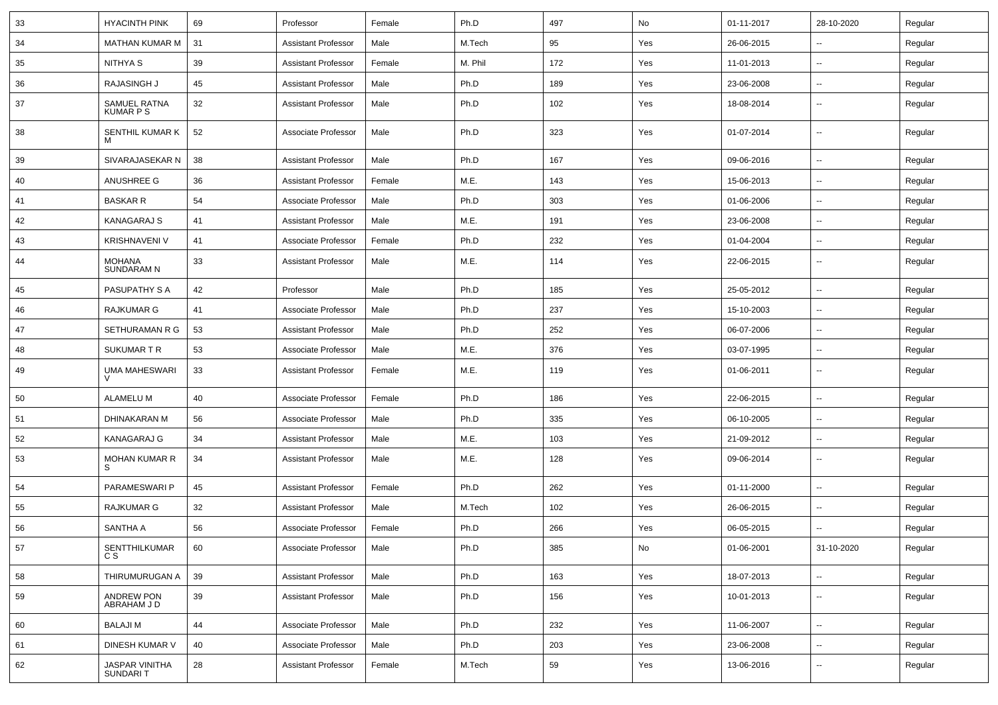| 33 | <b>HYACINTH PINK</b>              | 69 | Professor                  | Female | Ph.D    | 497 | No  | 01-11-2017 | 28-10-2020               | Regular |
|----|-----------------------------------|----|----------------------------|--------|---------|-----|-----|------------|--------------------------|---------|
| 34 | MATHAN KUMAR M                    | 31 | <b>Assistant Professor</b> | Male   | M.Tech  | 95  | Yes | 26-06-2015 | --                       | Regular |
| 35 | NITHYA S                          | 39 | <b>Assistant Professor</b> | Female | M. Phil | 172 | Yes | 11-01-2013 | $\overline{\phantom{a}}$ | Regular |
| 36 | RAJASINGH J                       | 45 | <b>Assistant Professor</b> | Male   | Ph.D    | 189 | Yes | 23-06-2008 | $\overline{\phantom{a}}$ | Regular |
| 37 | SAMUEL RATNA<br><b>KUMAR PS</b>   | 32 | <b>Assistant Professor</b> | Male   | Ph.D    | 102 | Yes | 18-08-2014 | $\overline{\phantom{a}}$ | Regular |
| 38 | SENTHIL KUMAR K<br>м              | 52 | Associate Professor        | Male   | Ph.D    | 323 | Yes | 01-07-2014 | $\overline{\phantom{a}}$ | Regular |
| 39 | SIVARAJASEKAR N                   | 38 | <b>Assistant Professor</b> | Male   | Ph.D    | 167 | Yes | 09-06-2016 | Ξ.                       | Regular |
| 40 | ANUSHREE G                        | 36 | <b>Assistant Professor</b> | Female | M.E.    | 143 | Yes | 15-06-2013 | $\overline{\phantom{a}}$ | Regular |
| 41 | <b>BASKAR R</b>                   | 54 | Associate Professor        | Male   | Ph.D    | 303 | Yes | 01-06-2006 | н.                       | Regular |
| 42 | <b>KANAGARAJ S</b>                | 41 | <b>Assistant Professor</b> | Male   | M.E.    | 191 | Yes | 23-06-2008 | $\overline{\phantom{a}}$ | Regular |
| 43 | <b>KRISHNAVENI V</b>              | 41 | Associate Professor        | Female | Ph.D    | 232 | Yes | 01-04-2004 | $\overline{\phantom{a}}$ | Regular |
| 44 | MOHANA<br><b>SUNDARAM N</b>       | 33 | <b>Assistant Professor</b> | Male   | M.E.    | 114 | Yes | 22-06-2015 | -−                       | Regular |
| 45 | PASUPATHY S A                     | 42 | Professor                  | Male   | Ph.D    | 185 | Yes | 25-05-2012 | $\overline{\phantom{a}}$ | Regular |
| 46 | RAJKUMAR G                        | 41 | Associate Professor        | Male   | Ph.D    | 237 | Yes | 15-10-2003 | $\overline{\phantom{a}}$ | Regular |
| 47 | SETHURAMAN R G                    | 53 | <b>Assistant Professor</b> | Male   | Ph.D    | 252 | Yes | 06-07-2006 | $\overline{\phantom{a}}$ | Regular |
| 48 | SUKUMAR T R                       | 53 | Associate Professor        | Male   | M.E.    | 376 | Yes | 03-07-1995 | $\overline{\phantom{a}}$ | Regular |
| 49 | <b>UMA MAHESWARI</b>              | 33 | <b>Assistant Professor</b> | Female | M.E.    | 119 | Yes | 01-06-2011 | --                       | Regular |
| 50 | <b>ALAMELU M</b>                  | 40 | Associate Professor        | Female | Ph.D    | 186 | Yes | 22-06-2015 | Ξ.                       | Regular |
| 51 | DHINAKARAN M                      | 56 | Associate Professor        | Male   | Ph.D    | 335 | Yes | 06-10-2005 | --                       | Regular |
| 52 | KANAGARAJ G                       | 34 | <b>Assistant Professor</b> | Male   | M.E.    | 103 | Yes | 21-09-2012 | $\overline{\phantom{a}}$ | Regular |
| 53 | <b>MOHAN KUMAR R</b><br>S         | 34 | <b>Assistant Professor</b> | Male   | M.E.    | 128 | Yes | 09-06-2014 | $\overline{\phantom{a}}$ | Regular |
| 54 | PARAMESWARI P                     | 45 | <b>Assistant Professor</b> | Female | Ph.D    | 262 | Yes | 01-11-2000 | $\overline{\phantom{a}}$ | Regular |
| 55 | RAJKUMAR G                        | 32 | <b>Assistant Professor</b> | Male   | M.Tech  | 102 | Yes | 26-06-2015 | $\overline{\phantom{a}}$ | Regular |
| 56 | SANTHA A                          | 56 | Associate Professor        | Female | Ph.D    | 266 | Yes | 06-05-2015 | $\sim$                   | Regular |
| 57 | SENTTHILKUMAR<br>C S              | 60 | Associate Professor        | Male   | Ph.D    | 385 | No  | 01-06-2001 | 31-10-2020               | Regular |
| 58 | THIRUMURUGAN A                    | 39 | <b>Assistant Professor</b> | Male   | Ph.D    | 163 | Yes | 18-07-2013 | $\overline{\phantom{a}}$ | Regular |
| 59 | ANDREW PON<br>ABRAHAM J D         | 39 | <b>Assistant Professor</b> | Male   | Ph.D    | 156 | Yes | 10-01-2013 | $\sim$                   | Regular |
| 60 | <b>BALAJIM</b>                    | 44 | Associate Professor        | Male   | Ph.D    | 232 | Yes | 11-06-2007 | Ξ.                       | Regular |
| 61 | DINESH KUMAR V                    | 40 | Associate Professor        | Male   | Ph.D    | 203 | Yes | 23-06-2008 | $\overline{\phantom{a}}$ | Regular |
| 62 | <b>JASPAR VINITHA</b><br>SUNDARIT | 28 | <b>Assistant Professor</b> | Female | M.Tech  | 59  | Yes | 13-06-2016 | н.                       | Regular |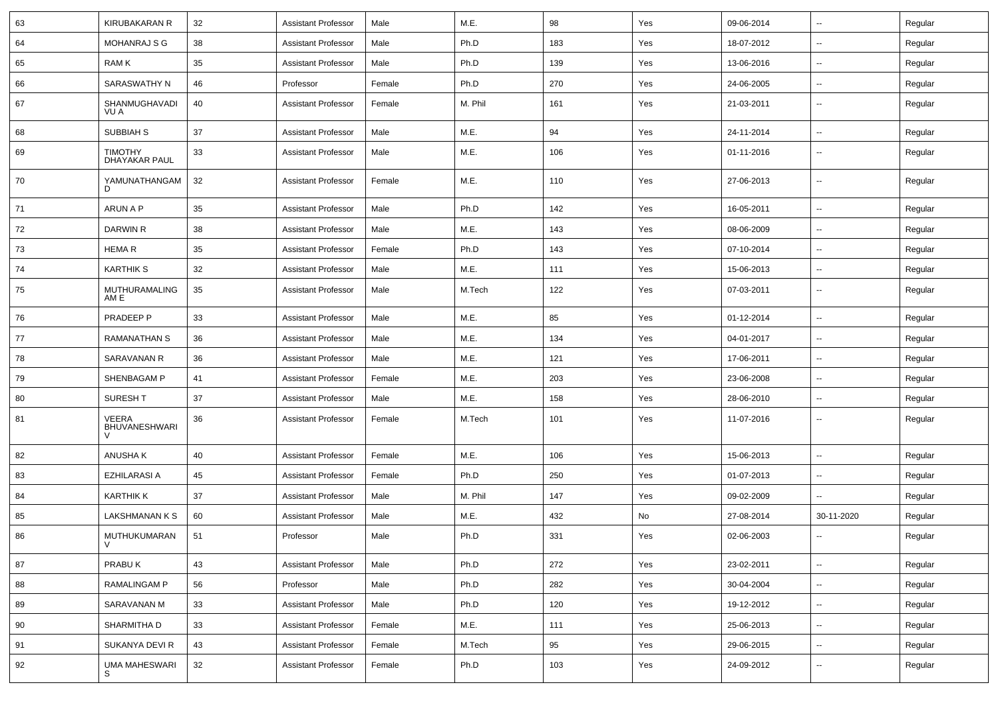| 63 | <b>KIRUBAKARAN R</b>                   | 32 | <b>Assistant Professor</b> | Male   | M.E.    | 98  | Yes | 09-06-2014 | $\overline{\phantom{a}}$ | Regular |
|----|----------------------------------------|----|----------------------------|--------|---------|-----|-----|------------|--------------------------|---------|
| 64 | <b>MOHANRAJ S G</b>                    | 38 | <b>Assistant Professor</b> | Male   | Ph.D    | 183 | Yes | 18-07-2012 | ⊶.                       | Regular |
| 65 | RAM K                                  | 35 | <b>Assistant Professor</b> | Male   | Ph.D    | 139 | Yes | 13-06-2016 | ⊷.                       | Regular |
| 66 | SARASWATHY N                           | 46 | Professor                  | Female | Ph.D    | 270 | Yes | 24-06-2005 | $\overline{\phantom{a}}$ | Regular |
| 67 | SHANMUGHAVADI<br>VU A                  | 40 | <b>Assistant Professor</b> | Female | M. Phil | 161 | Yes | 21-03-2011 | --                       | Regular |
| 68 | SUBBIAH S                              | 37 | <b>Assistant Professor</b> | Male   | M.E.    | 94  | Yes | 24-11-2014 | ⊷.                       | Regular |
| 69 | <b>TIMOTHY</b><br><b>DHAYAKAR PAUL</b> | 33 | <b>Assistant Professor</b> | Male   | M.E.    | 106 | Yes | 01-11-2016 | $\sim$                   | Regular |
| 70 | YAMUNATHANGAM                          | 32 | <b>Assistant Professor</b> | Female | M.E.    | 110 | Yes | 27-06-2013 | Ξ.                       | Regular |
| 71 | ARUN A P                               | 35 | <b>Assistant Professor</b> | Male   | Ph.D    | 142 | Yes | 16-05-2011 | Ξ.                       | Regular |
| 72 | <b>DARWIN R</b>                        | 38 | <b>Assistant Professor</b> | Male   | M.E.    | 143 | Yes | 08-06-2009 | ⊷.                       | Regular |
| 73 | HEMA R                                 | 35 | <b>Assistant Professor</b> | Female | Ph.D    | 143 | Yes | 07-10-2014 | ⊷.                       | Regular |
| 74 | <b>KARTHIK S</b>                       | 32 | <b>Assistant Professor</b> | Male   | M.E.    | 111 | Yes | 15-06-2013 | ⊶.                       | Regular |
| 75 | <b>MUTHURAMALING</b><br>AM E           | 35 | <b>Assistant Professor</b> | Male   | M.Tech  | 122 | Yes | 07-03-2011 | $\overline{\phantom{a}}$ | Regular |
| 76 | PRADEEP P                              | 33 | <b>Assistant Professor</b> | Male   | M.E.    | 85  | Yes | 01-12-2014 | $\overline{\phantom{a}}$ | Regular |
| 77 | <b>RAMANATHAN S</b>                    | 36 | <b>Assistant Professor</b> | Male   | M.E.    | 134 | Yes | 04-01-2017 | --                       | Regular |
| 78 | SARAVANAN R                            | 36 | <b>Assistant Professor</b> | Male   | M.E.    | 121 | Yes | 17-06-2011 | $\overline{\phantom{a}}$ | Regular |
| 79 | SHENBAGAM P                            | 41 | Assistant Professor        | Female | M.E.    | 203 | Yes | 23-06-2008 | ⊷.                       | Regular |
| 80 | <b>SURESHT</b>                         | 37 | <b>Assistant Professor</b> | Male   | M.E.    | 158 | Yes | 28-06-2010 | ⊶.                       | Regular |
| 81 | VEERA<br><b>BHUVANESHWARI</b>          | 36 | <b>Assistant Professor</b> | Female | M.Tech  | 101 | Yes | 11-07-2016 | --                       | Regular |
| 82 | ANUSHA K                               | 40 | <b>Assistant Professor</b> | Female | M.E.    | 106 | Yes | 15-06-2013 | ⊶.                       | Regular |
| 83 | <b>EZHILARASI A</b>                    | 45 | <b>Assistant Professor</b> | Female | Ph.D    | 250 | Yes | 01-07-2013 | --                       | Regular |
| 84 | <b>KARTHIK K</b>                       | 37 | <b>Assistant Professor</b> | Male   | M. Phil | 147 | Yes | 09-02-2009 | $\overline{\phantom{a}}$ | Regular |
| 85 | LAKSHMANAN K S                         | 60 | <b>Assistant Professor</b> | Male   | M.E.    | 432 | No  | 27-08-2014 | 30-11-2020               | Regular |
| 86 | MUTHUKUMARAN                           | 51 | Professor                  | Male   | Ph.D    | 331 | Yes | 02-06-2003 | --                       | Regular |
| 87 | PRABUK                                 | 43 | <b>Assistant Professor</b> | Male   | Ph.D    | 272 | Yes | 23-02-2011 | Щ,                       | Regular |
| 88 | <b>RAMALINGAM P</b>                    | 56 | Professor                  | Male   | Ph.D    | 282 | Yes | 30-04-2004 | $\sim$                   | Regular |
| 89 | SARAVANAN M                            | 33 | <b>Assistant Professor</b> | Male   | Ph.D    | 120 | Yes | 19-12-2012 | $\overline{\phantom{a}}$ | Regular |
| 90 | SHARMITHA D                            | 33 | <b>Assistant Professor</b> | Female | M.E.    | 111 | Yes | 25-06-2013 | $\overline{\phantom{a}}$ | Regular |
| 91 | SUKANYA DEVI R                         | 43 | <b>Assistant Professor</b> | Female | M.Tech  | 95  | Yes | 29-06-2015 | $\overline{\phantom{a}}$ | Regular |
| 92 | <b>UMA MAHESWARI</b><br>S              | 32 | <b>Assistant Professor</b> | Female | Ph.D    | 103 | Yes | 24-09-2012 | −−                       | Regular |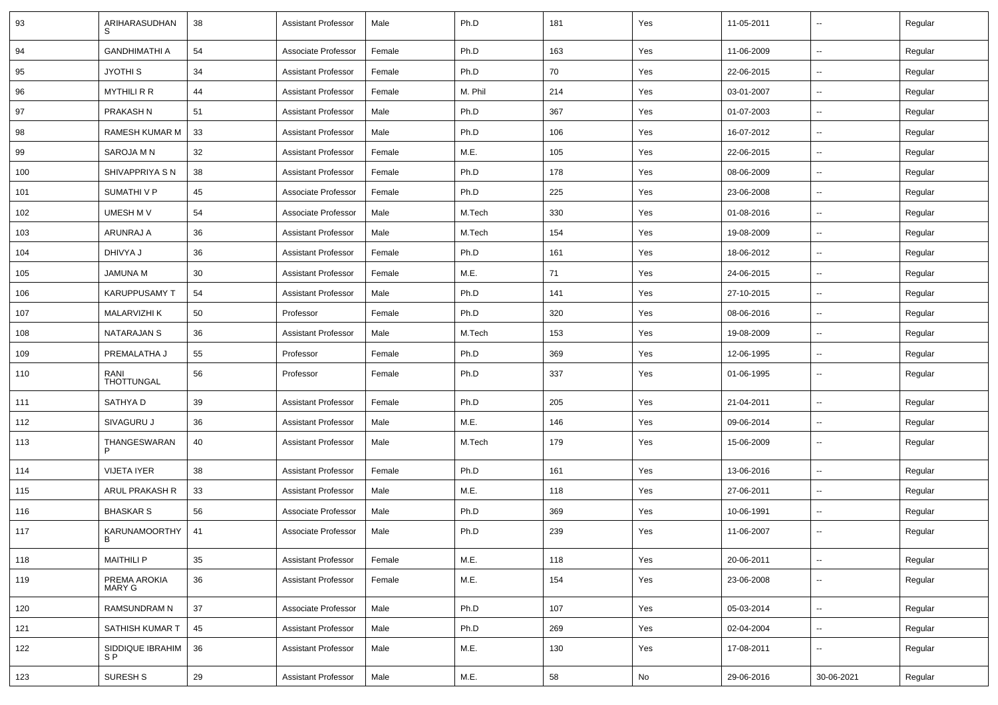| 93  | ARIHARASUDHAN                      | 38 | <b>Assistant Professor</b> | Male   | Ph.D    | 181 | Yes | 11-05-2011 | $\overline{\phantom{a}}$ | Regular |
|-----|------------------------------------|----|----------------------------|--------|---------|-----|-----|------------|--------------------------|---------|
| 94  | <b>GANDHIMATHI A</b>               | 54 | Associate Professor        | Female | Ph.D    | 163 | Yes | 11-06-2009 | $\sim$                   | Regular |
| 95  | JYOTHI S                           | 34 | <b>Assistant Professor</b> | Female | Ph.D    | 70  | Yes | 22-06-2015 | $\overline{\phantom{a}}$ | Regular |
| 96  | <b>MYTHILI R R</b>                 | 44 | <b>Assistant Professor</b> | Female | M. Phil | 214 | Yes | 03-01-2007 | --                       | Regular |
| 97  | PRAKASH N                          | 51 | <b>Assistant Professor</b> | Male   | Ph.D    | 367 | Yes | 01-07-2003 | --                       | Regular |
| 98  | RAMESH KUMAR M                     | 33 | <b>Assistant Professor</b> | Male   | Ph.D    | 106 | Yes | 16-07-2012 | Ξ.                       | Regular |
| 99  | SAROJA M N                         | 32 | <b>Assistant Professor</b> | Female | M.E.    | 105 | Yes | 22-06-2015 | $\sim$                   | Regular |
| 100 | SHIVAPPRIYA S N                    | 38 | <b>Assistant Professor</b> | Female | Ph.D    | 178 | Yes | 08-06-2009 | $\sim$                   | Regular |
| 101 | <b>SUMATHIVP</b>                   | 45 | Associate Professor        | Female | Ph.D    | 225 | Yes | 23-06-2008 | $\overline{\phantom{a}}$ | Regular |
| 102 | UMESH M V                          | 54 | Associate Professor        | Male   | M.Tech  | 330 | Yes | 01-08-2016 | $\overline{\phantom{a}}$ | Regular |
| 103 | ARUNRAJ A                          | 36 | <b>Assistant Professor</b> | Male   | M.Tech  | 154 | Yes | 19-08-2009 | $\overline{\phantom{a}}$ | Regular |
| 104 | DHIVYA J                           | 36 | <b>Assistant Professor</b> | Female | Ph.D    | 161 | Yes | 18-06-2012 | $\overline{\phantom{a}}$ | Regular |
| 105 | JAMUNA M                           | 30 | <b>Assistant Professor</b> | Female | M.E.    | 71  | Yes | 24-06-2015 | $\sim$                   | Regular |
| 106 | <b>KARUPPUSAMY T</b>               | 54 | <b>Assistant Professor</b> | Male   | Ph.D    | 141 | Yes | 27-10-2015 | Ξ.                       | Regular |
| 107 | MALARVIZHI K                       | 50 | Professor                  | Female | Ph.D    | 320 | Yes | 08-06-2016 | -−                       | Regular |
| 108 | NATARAJAN S                        | 36 | <b>Assistant Professor</b> | Male   | M.Tech  | 153 | Yes | 19-08-2009 | $\overline{\phantom{a}}$ | Regular |
| 109 | PREMALATHA J                       | 55 | Professor                  | Female | Ph.D    | 369 | Yes | 12-06-1995 | н.                       | Regular |
| 110 | RANI<br>THOTTUNGAL                 | 56 | Professor                  | Female | Ph.D    | 337 | Yes | 01-06-1995 | $\overline{\phantom{a}}$ | Regular |
| 111 | SATHYA D                           | 39 | <b>Assistant Professor</b> | Female | Ph.D    | 205 | Yes | 21-04-2011 | ш,                       | Regular |
| 112 | SIVAGURU J                         | 36 | <b>Assistant Professor</b> | Male   | M.E.    | 146 | Yes | 09-06-2014 | Щ,                       | Regular |
| 113 | THANGESWARAN<br>P                  | 40 | <b>Assistant Professor</b> | Male   | M.Tech  | 179 | Yes | 15-06-2009 | н.                       | Regular |
| 114 | <b>VIJETA IYER</b>                 | 38 | <b>Assistant Professor</b> | Female | Ph.D    | 161 | Yes | 13-06-2016 | $\sim$                   | Regular |
| 115 | ARUL PRAKASH R                     | 33 | <b>Assistant Professor</b> | Male   | M.E.    | 118 | Yes | 27-06-2011 | $\overline{\phantom{a}}$ | Regular |
| 116 | <b>BHASKAR S</b>                   | 56 | Associate Professor        | Male   | Ph.D    | 369 | Yes | 10-06-1991 | н.                       | Regular |
| 117 | KARUNAMOORTHY<br>B                 | 41 | Associate Professor        | Male   | Ph.D    | 239 | Yes | 11-06-2007 | -−                       | Regular |
| 118 | <b>MAITHILI P</b>                  | 35 | <b>Assistant Professor</b> | Female | M.E.    | 118 | Yes | 20-06-2011 | $\sim$                   | Regular |
| 119 | PREMA AROKIA<br>MARY G             | 36 | <b>Assistant Professor</b> | Female | M.E.    | 154 | Yes | 23-06-2008 | ц.                       | Regular |
| 120 | RAMSUNDRAM N                       | 37 | Associate Professor        | Male   | Ph.D    | 107 | Yes | 05-03-2014 | Ц.                       | Regular |
| 121 | SATHISH KUMAR T                    | 45 | <b>Assistant Professor</b> | Male   | Ph.D    | 269 | Yes | 02-04-2004 | Щ,                       | Regular |
| 122 | SIDDIQUE IBRAHIM<br>S <sub>P</sub> | 36 | <b>Assistant Professor</b> | Male   | M.E.    | 130 | Yes | 17-08-2011 | ₩,                       | Regular |
| 123 | SURESH <sub>S</sub>                | 29 | <b>Assistant Professor</b> | Male   | M.E.    | 58  | No  | 29-06-2016 | 30-06-2021               | Regular |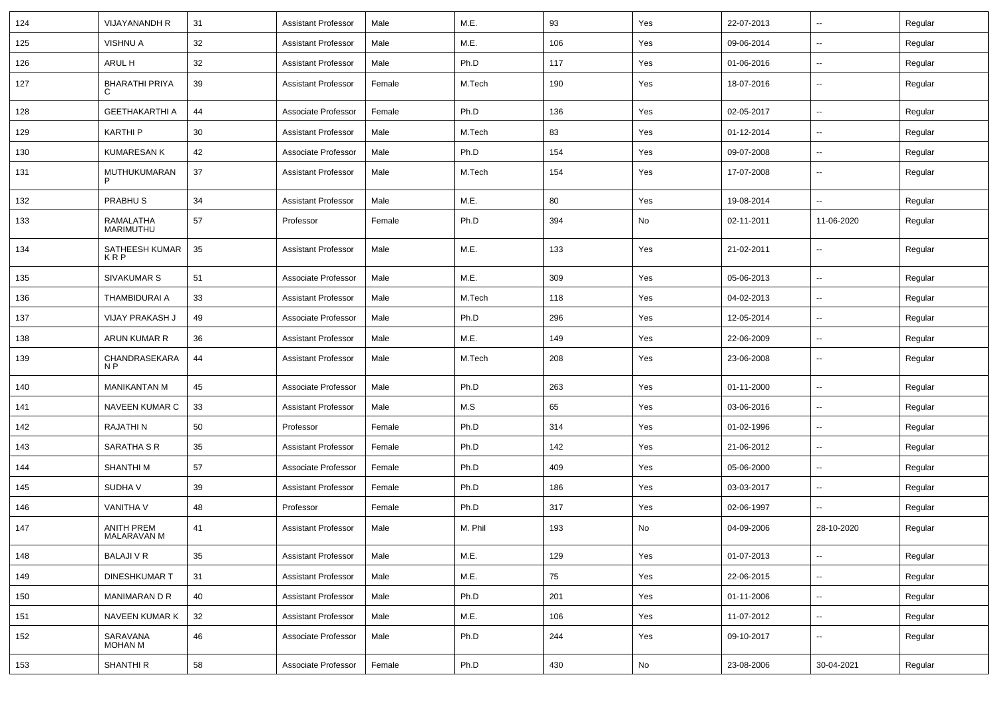| 124 | <b>VIJAYANANDH R</b>             | 31 | <b>Assistant Professor</b> | Male   | M.E.    | 93  | Yes | 22-07-2013 | $\overline{\phantom{a}}$ | Regular |
|-----|----------------------------------|----|----------------------------|--------|---------|-----|-----|------------|--------------------------|---------|
| 125 | <b>VISHNU A</b>                  | 32 | <b>Assistant Professor</b> | Male   | M.E.    | 106 | Yes | 09-06-2014 | --                       | Regular |
| 126 | ARUL H                           | 32 | <b>Assistant Professor</b> | Male   | Ph.D    | 117 | Yes | 01-06-2016 | $\overline{\phantom{a}}$ | Regular |
| 127 | <b>BHARATHI PRIYA</b><br>C       | 39 | <b>Assistant Professor</b> | Female | M.Tech  | 190 | Yes | 18-07-2016 | $\overline{\phantom{a}}$ | Regular |
| 128 | <b>GEETHAKARTHI A</b>            | 44 | Associate Professor        | Female | Ph.D    | 136 | Yes | 02-05-2017 | --                       | Regular |
| 129 | <b>KARTHIP</b>                   | 30 | <b>Assistant Professor</b> | Male   | M.Tech  | 83  | Yes | 01-12-2014 | -−                       | Regular |
| 130 | <b>KUMARESAN K</b>               | 42 | Associate Professor        | Male   | Ph.D    | 154 | Yes | 09-07-2008 | $\overline{\phantom{a}}$ | Regular |
| 131 | MUTHUKUMARAN                     | 37 | <b>Assistant Professor</b> | Male   | M.Tech  | 154 | Yes | 17-07-2008 | $\overline{\phantom{a}}$ | Regular |
| 132 | PRABHU <sub>S</sub>              | 34 | <b>Assistant Professor</b> | Male   | M.E.    | 80  | Yes | 19-08-2014 | $\sim$                   | Regular |
| 133 | RAMALATHA<br>MARIMUTHU           | 57 | Professor                  | Female | Ph.D    | 394 | No  | 02-11-2011 | 11-06-2020               | Regular |
| 134 | SATHEESH KUMAR<br><b>KRP</b>     | 35 | <b>Assistant Professor</b> | Male   | M.E.    | 133 | Yes | 21-02-2011 | --                       | Regular |
| 135 | SIVAKUMAR S                      | 51 | Associate Professor        | Male   | M.E.    | 309 | Yes | 05-06-2013 | --                       | Regular |
| 136 | <b>THAMBIDURAI A</b>             | 33 | <b>Assistant Professor</b> | Male   | M.Tech  | 118 | Yes | 04-02-2013 | -−                       | Regular |
| 137 | VIJAY PRAKASH J                  | 49 | Associate Professor        | Male   | Ph.D    | 296 | Yes | 12-05-2014 | --                       | Regular |
| 138 | ARUN KUMAR R                     | 36 | <b>Assistant Professor</b> | Male   | M.E.    | 149 | Yes | 22-06-2009 | --                       | Regular |
| 139 | CHANDRASEKARA<br>N <sub>P</sub>  | 44 | <b>Assistant Professor</b> | Male   | M.Tech  | 208 | Yes | 23-06-2008 | ⊷.                       | Regular |
| 140 | <b>MANIKANTAN M</b>              | 45 | Associate Professor        | Male   | Ph.D    | 263 | Yes | 01-11-2000 | Ξ.                       | Regular |
| 141 | NAVEEN KUMAR C                   | 33 | <b>Assistant Professor</b> | Male   | M.S     | 65  | Yes | 03-06-2016 | н.                       | Regular |
| 142 | <b>RAJATHIN</b>                  | 50 | Professor                  | Female | Ph.D    | 314 | Yes | 01-02-1996 | н.                       | Regular |
| 143 | SARATHA S R                      | 35 | <b>Assistant Professor</b> | Female | Ph.D    | 142 | Yes | 21-06-2012 | $\overline{\phantom{a}}$ | Regular |
| 144 | <b>SHANTHIM</b>                  | 57 | Associate Professor        | Female | Ph.D    | 409 | Yes | 05-06-2000 | $\overline{a}$           | Regular |
| 145 | SUDHA V                          | 39 | <b>Assistant Professor</b> | Female | Ph.D    | 186 | Yes | 03-03-2017 | --                       | Regular |
| 146 | VANITHA V                        | 48 | Professor                  | Female | Ph.D    | 317 | Yes | 02-06-1997 | -−                       | Regular |
| 147 | <b>ANITH PREM</b><br>MALARAVAN M | 41 | <b>Assistant Professor</b> | Male   | M. Phil | 193 | No  | 04-09-2006 | 28-10-2020               | Regular |
| 148 | <b>BALAJI V R</b>                | 35 | <b>Assistant Professor</b> | Male   | M.E.    | 129 | Yes | 01-07-2013 | $\sim$                   | Regular |
| 149 | <b>DINESHKUMAR T</b>             | 31 | <b>Assistant Professor</b> | Male   | M.E.    | 75  | Yes | 22-06-2015 | щ.                       | Regular |
| 150 | MANIMARAN D R                    | 40 | <b>Assistant Professor</b> | Male   | Ph.D    | 201 | Yes | 01-11-2006 | $\sim$                   | Regular |
| 151 | NAVEEN KUMAR K                   | 32 | <b>Assistant Professor</b> | Male   | M.E.    | 106 | Yes | 11-07-2012 | $\sim$                   | Regular |
| 152 | SARAVANA<br>MOHAN M              | 46 | Associate Professor        | Male   | Ph.D    | 244 | Yes | 09-10-2017 | Щ,                       | Regular |
| 153 | SHANTHI R                        | 58 | Associate Professor        | Female | Ph.D    | 430 | No  | 23-08-2006 | 30-04-2021               | Regular |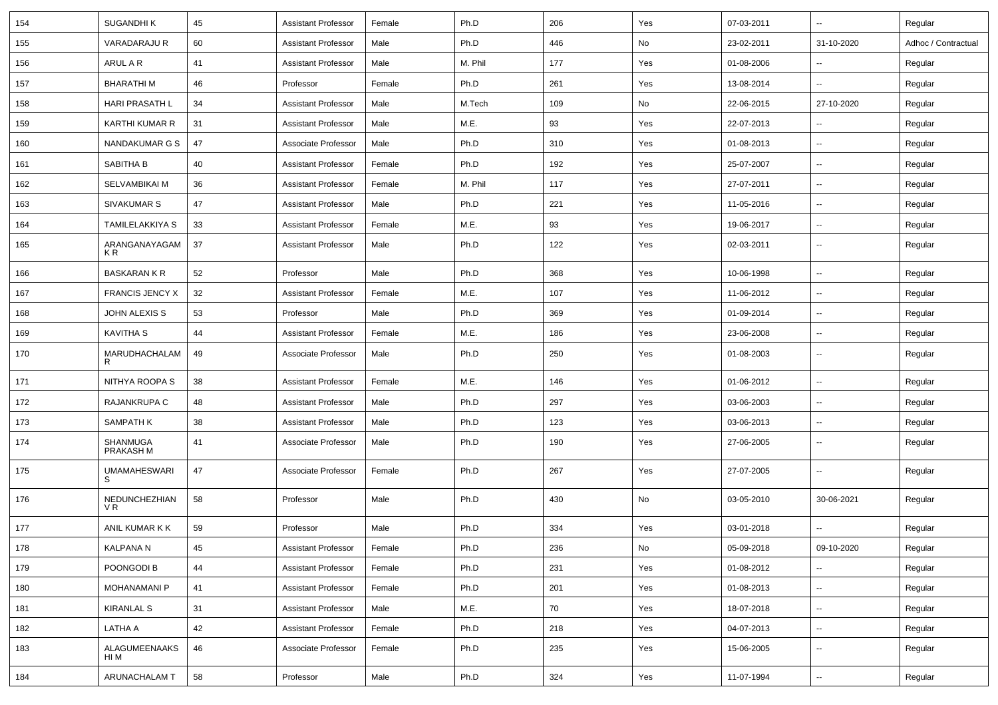| 154 | SUGANDHI K               | 45 | <b>Assistant Professor</b> | Female | Ph.D    | 206 | Yes | 07-03-2011 | $\overline{\phantom{a}}$ | Regular             |
|-----|--------------------------|----|----------------------------|--------|---------|-----|-----|------------|--------------------------|---------------------|
| 155 | VARADARAJU R             | 60 | <b>Assistant Professor</b> | Male   | Ph.D    | 446 | No  | 23-02-2011 | 31-10-2020               | Adhoc / Contractual |
| 156 | ARUL A R                 | 41 | <b>Assistant Professor</b> | Male   | M. Phil | 177 | Yes | 01-08-2006 | $\overline{\phantom{a}}$ | Regular             |
| 157 | <b>BHARATHIM</b>         | 46 | Professor                  | Female | Ph.D    | 261 | Yes | 13-08-2014 | $\overline{\phantom{a}}$ | Regular             |
| 158 | HARI PRASATH L           | 34 | <b>Assistant Professor</b> | Male   | M.Tech  | 109 | No  | 22-06-2015 | 27-10-2020               | Regular             |
| 159 | KARTHI KUMAR R           | 31 | <b>Assistant Professor</b> | Male   | M.E.    | 93  | Yes | 22-07-2013 |                          | Regular             |
| 160 | NANDAKUMAR G S           | 47 | Associate Professor        | Male   | Ph.D    | 310 | Yes | 01-08-2013 | $\overline{\phantom{a}}$ | Regular             |
| 161 | SABITHA B                | 40 | <b>Assistant Professor</b> | Female | Ph.D    | 192 | Yes | 25-07-2007 | $\overline{\phantom{a}}$ | Regular             |
| 162 | SELVAMBIKAI M            | 36 | <b>Assistant Professor</b> | Female | M. Phil | 117 | Yes | 27-07-2011 | $\overline{\phantom{a}}$ | Regular             |
| 163 | SIVAKUMAR S              | 47 | <b>Assistant Professor</b> | Male   | Ph.D    | 221 | Yes | 11-05-2016 | $\overline{\phantom{a}}$ | Regular             |
| 164 | TAMILELAKKIYA S          | 33 | <b>Assistant Professor</b> | Female | M.E.    | 93  | Yes | 19-06-2017 | $\overline{\phantom{a}}$ | Regular             |
| 165 | ARANGANAYAGAM<br>K R     | 37 | <b>Assistant Professor</b> | Male   | Ph.D    | 122 | Yes | 02-03-2011 | $\overline{\phantom{a}}$ | Regular             |
| 166 | <b>BASKARAN K R</b>      | 52 | Professor                  | Male   | Ph.D    | 368 | Yes | 10-06-1998 | $\ddotsc$                | Regular             |
| 167 | <b>FRANCIS JENCY X</b>   | 32 | <b>Assistant Professor</b> | Female | M.E.    | 107 | Yes | 11-06-2012 | $\overline{\phantom{a}}$ | Regular             |
| 168 | <b>JOHN ALEXIS S</b>     | 53 | Professor                  | Male   | Ph.D    | 369 | Yes | 01-09-2014 | ۰.                       | Regular             |
| 169 | <b>KAVITHA S</b>         | 44 | <b>Assistant Professor</b> | Female | M.E.    | 186 | Yes | 23-06-2008 | $\overline{\phantom{a}}$ | Regular             |
| 170 | MARUDHACHALAM<br>R       | 49 | Associate Professor        | Male   | Ph.D    | 250 | Yes | 01-08-2003 | $\overline{\phantom{a}}$ | Regular             |
| 171 | NITHYA ROOPA S           | 38 | <b>Assistant Professor</b> | Female | M.E.    | 146 | Yes | 01-06-2012 | $\overline{\phantom{a}}$ | Regular             |
| 172 | RAJANKRUPA C             | 48 | <b>Assistant Professor</b> | Male   | Ph.D    | 297 | Yes | 03-06-2003 | $\overline{\phantom{a}}$ | Regular             |
| 173 | <b>SAMPATH K</b>         | 38 | <b>Assistant Professor</b> | Male   | Ph.D    | 123 | Yes | 03-06-2013 | $\overline{\phantom{a}}$ | Regular             |
| 174 | SHANMUGA<br>PRAKASH M    | 41 | Associate Professor        | Male   | Ph.D    | 190 | Yes | 27-06-2005 | $\mathbf{u}$             | Regular             |
| 175 | <b>UMAMAHESWARI</b><br>S | 47 | Associate Professor        | Female | Ph.D    | 267 | Yes | 27-07-2005 | $\overline{\phantom{a}}$ | Regular             |
| 176 | NEDUNCHEZHIAN<br>VR.     | 58 | Professor                  | Male   | Ph.D    | 430 | No  | 03-05-2010 | 30-06-2021               | Regular             |
| 177 | ANIL KUMAR K K           | 59 | Professor                  | Male   | Ph.D    | 334 | Yes | 03-01-2018 | $\overline{\phantom{a}}$ | Regular             |
| 178 | <b>KALPANA N</b>         | 45 | <b>Assistant Professor</b> | Female | Ph.D    | 236 | No  | 05-09-2018 | 09-10-2020               | Regular             |
| 179 | POONGODI B               | 44 | Assistant Professor        | Female | Ph.D    | 231 | Yes | 01-08-2012 | $\overline{\phantom{a}}$ | Regular             |
| 180 | <b>MOHANAMANI P</b>      | 41 | <b>Assistant Professor</b> | Female | Ph.D    | 201 | Yes | 01-08-2013 | ۰.                       | Regular             |
| 181 | <b>KIRANLAL S</b>        | 31 | <b>Assistant Professor</b> | Male   | M.E.    | 70  | Yes | 18-07-2018 | ۰.                       | Regular             |
| 182 | LATHA A                  | 42 | <b>Assistant Professor</b> | Female | Ph.D    | 218 | Yes | 04-07-2013 | $\overline{\phantom{a}}$ | Regular             |
| 183 | ALAGUMEENAAKS<br>HI M    | 46 | Associate Professor        | Female | Ph.D    | 235 | Yes | 15-06-2005 | $\overline{\phantom{a}}$ | Regular             |
| 184 | ARUNACHALAM T            | 58 | Professor                  | Male   | Ph.D    | 324 | Yes | 11-07-1994 | $\overline{\phantom{a}}$ | Regular             |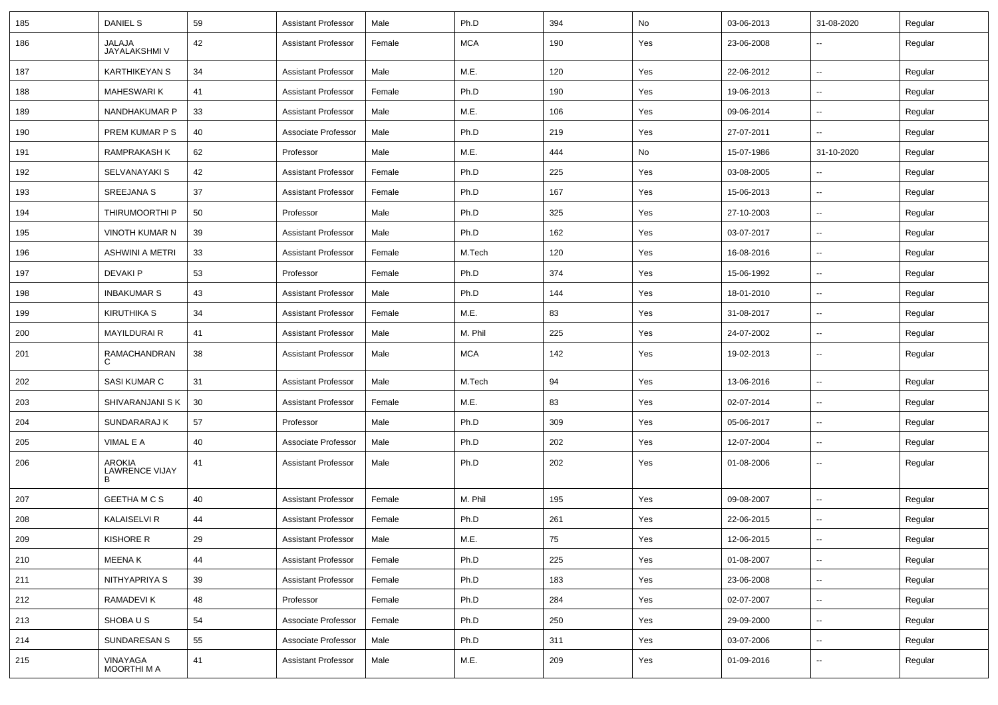| 185 | DANIEL S                             | 59 | <b>Assistant Professor</b> | Male   | Ph.D       | 394 | No  | 03-06-2013 | 31-08-2020               | Regular |
|-----|--------------------------------------|----|----------------------------|--------|------------|-----|-----|------------|--------------------------|---------|
| 186 | <b>JALAJA</b><br>JAYALAKSHMI V       | 42 | <b>Assistant Professor</b> | Female | <b>MCA</b> | 190 | Yes | 23-06-2008 | --                       | Regular |
| 187 | <b>KARTHIKEYAN S</b>                 | 34 | <b>Assistant Professor</b> | Male   | M.E.       | 120 | Yes | 22-06-2012 | Ξ.                       | Regular |
| 188 | <b>MAHESWARIK</b>                    | 41 | <b>Assistant Professor</b> | Female | Ph.D       | 190 | Yes | 19-06-2013 | --                       | Regular |
| 189 | NANDHAKUMAR P                        | 33 | <b>Assistant Professor</b> | Male   | M.E.       | 106 | Yes | 09-06-2014 | $\overline{\phantom{a}}$ | Regular |
| 190 | PREM KUMAR P S                       | 40 | Associate Professor        | Male   | Ph.D       | 219 | Yes | 27-07-2011 | $\overline{\phantom{a}}$ | Regular |
| 191 | <b>RAMPRAKASH K</b>                  | 62 | Professor                  | Male   | M.E.       | 444 | No  | 15-07-1986 | 31-10-2020               | Regular |
| 192 | <b>SELVANAYAKI S</b>                 | 42 | <b>Assistant Professor</b> | Female | Ph.D       | 225 | Yes | 03-08-2005 | $\sim$                   | Regular |
| 193 | SREEJANA S                           | 37 | <b>Assistant Professor</b> | Female | Ph.D       | 167 | Yes | 15-06-2013 | $\overline{\phantom{a}}$ | Regular |
| 194 | THIRUMOORTHI P                       | 50 | Professor                  | Male   | Ph.D       | 325 | Yes | 27-10-2003 | $\overline{\phantom{a}}$ | Regular |
| 195 | VINOTH KUMAR N                       | 39 | <b>Assistant Professor</b> | Male   | Ph.D       | 162 | Yes | 03-07-2017 | $\overline{\phantom{a}}$ | Regular |
| 196 | <b>ASHWINI A METRI</b>               | 33 | <b>Assistant Professor</b> | Female | M.Tech     | 120 | Yes | 16-08-2016 | $\overline{\phantom{a}}$ | Regular |
| 197 | <b>DEVAKIP</b>                       | 53 | Professor                  | Female | Ph.D       | 374 | Yes | 15-06-1992 | $\sim$                   | Regular |
| 198 | <b>INBAKUMAR S</b>                   | 43 | <b>Assistant Professor</b> | Male   | Ph.D       | 144 | Yes | 18-01-2010 | $\overline{\phantom{a}}$ | Regular |
| 199 | <b>KIRUTHIKA S</b>                   | 34 | <b>Assistant Professor</b> | Female | M.E.       | 83  | Yes | 31-08-2017 | $\overline{\phantom{a}}$ | Regular |
| 200 | <b>MAYILDURAI R</b>                  | 41 | <b>Assistant Professor</b> | Male   | M. Phil    | 225 | Yes | 24-07-2002 | $\overline{\phantom{a}}$ | Regular |
| 201 | RAMACHANDRAN<br>C                    | 38 | <b>Assistant Professor</b> | Male   | <b>MCA</b> | 142 | Yes | 19-02-2013 | --                       | Regular |
| 202 | SASI KUMAR C                         | 31 | <b>Assistant Professor</b> | Male   | M.Tech     | 94  | Yes | 13-06-2016 | $\sim$                   | Regular |
| 203 | SHIVARANJANI S K                     | 30 | <b>Assistant Professor</b> | Female | M.E.       | 83  | Yes | 02-07-2014 | --                       | Regular |
| 204 | SUNDARARAJ K                         | 57 | Professor                  | Male   | Ph.D       | 309 | Yes | 05-06-2017 | $\overline{\phantom{a}}$ | Regular |
| 205 | VIMAL E A                            | 40 | Associate Professor        | Male   | Ph.D       | 202 | Yes | 12-07-2004 | $\sim$                   | Regular |
| 206 | AROKIA<br><b>LAWRENCE VIJAY</b><br>B | 41 | <b>Assistant Professor</b> | Male   | Ph.D       | 202 | Yes | 01-08-2006 | --                       | Regular |
| 207 | <b>GEETHA M C S</b>                  | 40 | <b>Assistant Professor</b> | Female | M. Phil    | 195 | Yes | 09-08-2007 | $\sim$                   | Regular |
| 208 | KALAISELVI R                         | 44 | <b>Assistant Professor</b> | Female | Ph.D       | 261 | Yes | 22-06-2015 | --                       | Regular |
| 209 | KISHORE R                            | 29 | <b>Assistant Professor</b> | Male   | M.E.       | 75  | Yes | 12-06-2015 | $\overline{\phantom{a}}$ | Regular |
| 210 | MEENA K                              | 44 | <b>Assistant Professor</b> | Female | Ph.D       | 225 | Yes | 01-08-2007 | н.                       | Regular |
| 211 | NITHYAPRIYA S                        | 39 | <b>Assistant Professor</b> | Female | Ph.D       | 183 | Yes | 23-06-2008 | н.                       | Regular |
| 212 | RAMADEVI K                           | 48 | Professor                  | Female | Ph.D       | 284 | Yes | 02-07-2007 | $\sim$                   | Regular |
| 213 | SHOBA U S                            | 54 | Associate Professor        | Female | Ph.D       | 250 | Yes | 29-09-2000 | $\sim$                   | Regular |
| 214 | SUNDARESAN S                         | 55 | Associate Professor        | Male   | Ph.D       | 311 | Yes | 03-07-2006 | $\overline{\phantom{a}}$ | Regular |
| 215 | VINAYAGA<br>MOORTHI M A              | 41 | <b>Assistant Professor</b> | Male   | M.E.       | 209 | Yes | 01-09-2016 | $\overline{\phantom{a}}$ | Regular |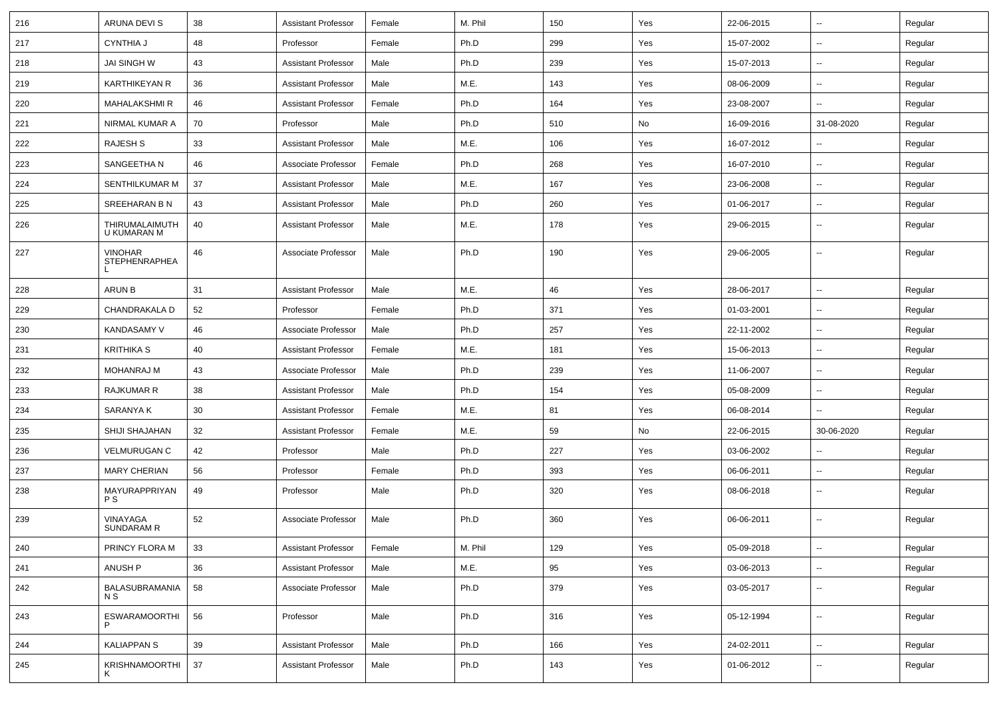| 216 | ARUNA DEVI S                           | 38 | <b>Assistant Professor</b> | Female | M. Phil | 150 | Yes | 22-06-2015 | $\sim$                   | Regular |
|-----|----------------------------------------|----|----------------------------|--------|---------|-----|-----|------------|--------------------------|---------|
| 217 | <b>CYNTHIA J</b>                       | 48 | Professor                  | Female | Ph.D    | 299 | Yes | 15-07-2002 | $\overline{\phantom{a}}$ | Regular |
| 218 | JAI SINGH W                            | 43 | <b>Assistant Professor</b> | Male   | Ph.D    | 239 | Yes | 15-07-2013 | $\overline{\phantom{a}}$ | Regular |
| 219 | <b>KARTHIKEYAN R</b>                   | 36 | <b>Assistant Professor</b> | Male   | M.E.    | 143 | Yes | 08-06-2009 | $\overline{\phantom{a}}$ | Regular |
| 220 | <b>MAHALAKSHMI R</b>                   | 46 | <b>Assistant Professor</b> | Female | Ph.D    | 164 | Yes | 23-08-2007 |                          | Regular |
| 221 | NIRMAL KUMAR A                         | 70 | Professor                  | Male   | Ph.D    | 510 | No  | 16-09-2016 | 31-08-2020               | Regular |
| 222 | <b>RAJESH S</b>                        | 33 | <b>Assistant Professor</b> | Male   | M.E.    | 106 | Yes | 16-07-2012 | $\sim$                   | Regular |
| 223 | SANGEETHA N                            | 46 | Associate Professor        | Female | Ph.D    | 268 | Yes | 16-07-2010 | $\sim$                   | Regular |
| 224 | SENTHILKUMAR M                         | 37 | Assistant Professor        | Male   | M.E.    | 167 | Yes | 23-06-2008 | $\overline{\phantom{a}}$ | Regular |
| 225 | SREEHARAN B N                          | 43 | <b>Assistant Professor</b> | Male   | Ph.D    | 260 | Yes | 01-06-2017 | $\overline{\phantom{a}}$ | Regular |
| 226 | THIRUMALAIMUTH<br>U KUMARAN M          | 40 | <b>Assistant Professor</b> | Male   | M.E.    | 178 | Yes | 29-06-2015 | --                       | Regular |
| 227 | <b>VINOHAR</b><br><b>STEPHENRAPHEA</b> | 46 | Associate Professor        | Male   | Ph.D    | 190 | Yes | 29-06-2005 | --                       | Regular |
| 228 | ARUN B                                 | 31 | <b>Assistant Professor</b> | Male   | M.E.    | 46  | Yes | 28-06-2017 | $\overline{\phantom{a}}$ | Regular |
| 229 | CHANDRAKALA D                          | 52 | Professor                  | Female | Ph.D    | 371 | Yes | 01-03-2001 | --                       | Regular |
| 230 | <b>KANDASAMY V</b>                     | 46 | Associate Professor        | Male   | Ph.D    | 257 | Yes | 22-11-2002 | $\overline{a}$           | Regular |
| 231 | <b>KRITHIKA S</b>                      | 40 | <b>Assistant Professor</b> | Female | M.E.    | 181 | Yes | 15-06-2013 | $\sim$                   | Regular |
| 232 | MOHANRAJ M                             | 43 | Associate Professor        | Male   | Ph.D    | 239 | Yes | 11-06-2007 | $\overline{\phantom{a}}$ | Regular |
| 233 | RAJKUMAR R                             | 38 | <b>Assistant Professor</b> | Male   | Ph.D    | 154 | Yes | 05-08-2009 |                          | Regular |
| 234 | SARANYA K                              | 30 | <b>Assistant Professor</b> | Female | M.E.    | 81  | Yes | 06-08-2014 | $\overline{\phantom{a}}$ | Regular |
| 235 | SHIJI SHAJAHAN                         | 32 | <b>Assistant Professor</b> | Female | M.E.    | 59  | No  | 22-06-2015 | 30-06-2020               | Regular |
| 236 | <b>VELMURUGAN C</b>                    | 42 | Professor                  | Male   | Ph.D    | 227 | Yes | 03-06-2002 |                          | Regular |
| 237 | <b>MARY CHERIAN</b>                    | 56 | Professor                  | Female | Ph.D    | 393 | Yes | 06-06-2011 | $\sim$                   | Regular |
| 238 | MAYURAPPRIYAN<br><b>PS</b>             | 49 | Professor                  | Male   | Ph.D    | 320 | Yes | 08-06-2018 | $\overline{\phantom{a}}$ | Regular |
| 239 | VINAYAGA<br>SUNDARAM R                 | 52 | Associate Professor        | Male   | Ph.D    | 360 | Yes | 06-06-2011 | $\mathbf{u}$             | Regular |
| 240 | PRINCY FLORA M                         | 33 | <b>Assistant Professor</b> | Female | M. Phil | 129 | Yes | 05-09-2018 | $\sim$                   | Regular |
| 241 | ANUSH P                                | 36 | <b>Assistant Professor</b> | Male   | M.E.    | 95  | Yes | 03-06-2013 | $\sim$                   | Regular |
| 242 | BALASUBRAMANIA<br>N S                  | 58 | Associate Professor        | Male   | Ph.D    | 379 | Yes | 03-05-2017 | $\sim$                   | Regular |
| 243 | ESWARAMOORTHI                          | 56 | Professor                  | Male   | Ph.D    | 316 | Yes | 05-12-1994 | $\sim$                   | Regular |
| 244 | <b>KALIAPPAN S</b>                     | 39 | <b>Assistant Professor</b> | Male   | Ph.D    | 166 | Yes | 24-02-2011 | $\sim$                   | Regular |
| 245 | <b>KRISHNAMOORTHI</b><br>K             | 37 | <b>Assistant Professor</b> | Male   | Ph.D    | 143 | Yes | 01-06-2012 | $\sim$                   | Regular |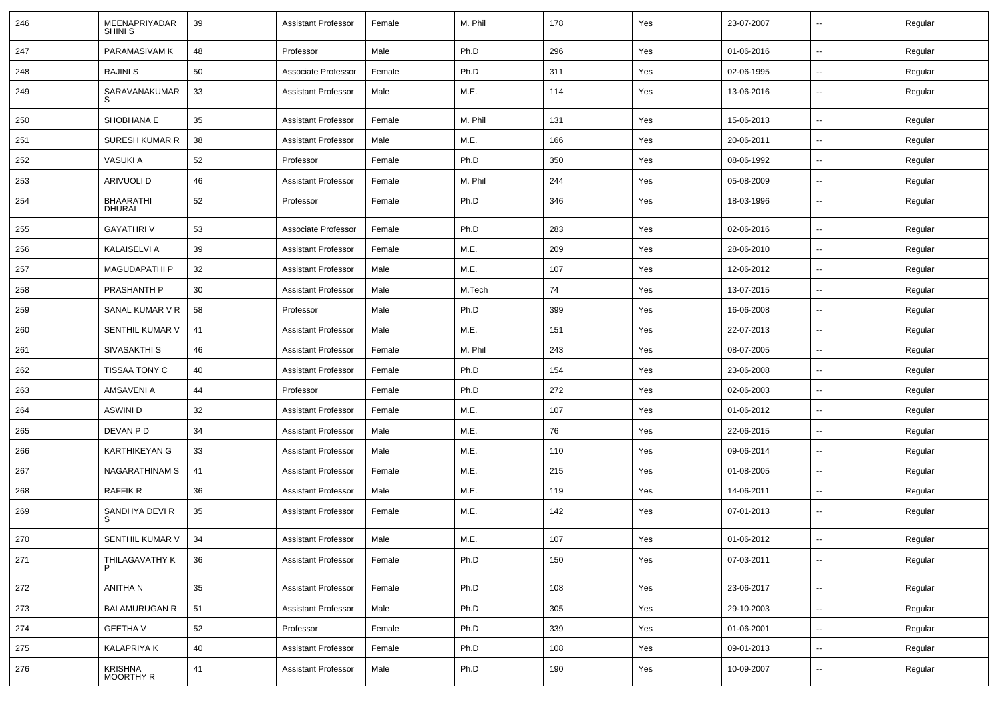| 246 | MEENAPRIYADAR<br><b>SHINI S</b>    | 39 | <b>Assistant Professor</b> | Female | M. Phil | 178 | Yes | 23-07-2007 | $\overline{\phantom{a}}$ | Regular |
|-----|------------------------------------|----|----------------------------|--------|---------|-----|-----|------------|--------------------------|---------|
| 247 | PARAMASIVAM K                      | 48 | Professor                  | Male   | Ph.D    | 296 | Yes | 01-06-2016 | $\overline{\phantom{a}}$ | Regular |
| 248 | RAJINI S                           | 50 | Associate Professor        | Female | Ph.D    | 311 | Yes | 02-06-1995 | ⊷.                       | Regular |
| 249 | SARAVANAKUMAR<br>S                 | 33 | <b>Assistant Professor</b> | Male   | M.E.    | 114 | Yes | 13-06-2016 | --                       | Regular |
| 250 | SHOBHANA E                         | 35 | <b>Assistant Professor</b> | Female | M. Phil | 131 | Yes | 15-06-2013 | $\overline{\phantom{a}}$ | Regular |
| 251 | SURESH KUMAR R                     | 38 | <b>Assistant Professor</b> | Male   | M.E.    | 166 | Yes | 20-06-2011 | --                       | Regular |
| 252 | VASUKI A                           | 52 | Professor                  | Female | Ph.D    | 350 | Yes | 08-06-1992 | --                       | Regular |
| 253 | ARIVUOLI D                         | 46 | <b>Assistant Professor</b> | Female | M. Phil | 244 | Yes | 05-08-2009 | $\overline{\phantom{a}}$ | Regular |
| 254 | <b>BHAARATHI</b><br>DHURAI         | 52 | Professor                  | Female | Ph.D    | 346 | Yes | 18-03-1996 | $\overline{\phantom{a}}$ | Regular |
| 255 | <b>GAYATHRIV</b>                   | 53 | Associate Professor        | Female | Ph.D    | 283 | Yes | 02-06-2016 | $\overline{\phantom{a}}$ | Regular |
| 256 | <b>KALAISELVI A</b>                | 39 | <b>Assistant Professor</b> | Female | M.E.    | 209 | Yes | 28-06-2010 | ⊷.                       | Regular |
| 257 | <b>MAGUDAPATHI P</b>               | 32 | <b>Assistant Professor</b> | Male   | M.E.    | 107 | Yes | 12-06-2012 | $\overline{\phantom{a}}$ | Regular |
| 258 | PRASHANTH P                        | 30 | <b>Assistant Professor</b> | Male   | M.Tech  | 74  | Yes | 13-07-2015 | $\overline{\phantom{a}}$ | Regular |
| 259 | SANAL KUMAR V R                    | 58 | Professor                  | Male   | Ph.D    | 399 | Yes | 16-06-2008 | --                       | Regular |
| 260 | SENTHIL KUMAR V                    | 41 | <b>Assistant Professor</b> | Male   | M.E.    | 151 | Yes | 22-07-2013 | $\overline{\phantom{a}}$ | Regular |
| 261 | SIVASAKTHI S                       | 46 | <b>Assistant Professor</b> | Female | M. Phil | 243 | Yes | 08-07-2005 | $\overline{\phantom{a}}$ | Regular |
| 262 | <b>TISSAA TONY C</b>               | 40 | <b>Assistant Professor</b> | Female | Ph.D    | 154 | Yes | 23-06-2008 | ⊷.                       | Regular |
| 263 | AMSAVENI A                         | 44 | Professor                  | Female | Ph.D    | 272 | Yes | 02-06-2003 | --                       | Regular |
| 264 | <b>ASWINI D</b>                    | 32 | <b>Assistant Professor</b> | Female | M.E.    | 107 | Yes | 01-06-2012 | $\overline{\phantom{a}}$ | Regular |
| 265 | DEVAN P D                          | 34 | <b>Assistant Professor</b> | Male   | M.E.    | 76  | Yes | 22-06-2015 | --                       | Regular |
| 266 | <b>KARTHIKEYAN G</b>               | 33 | <b>Assistant Professor</b> | Male   | M.E.    | 110 | Yes | 09-06-2014 | $\overline{a}$           | Regular |
| 267 | NAGARATHINAM S                     | 41 | <b>Assistant Professor</b> | Female | M.E.    | 215 | Yes | 01-08-2005 | $\overline{\phantom{a}}$ | Regular |
| 268 | <b>RAFFIK R</b>                    | 36 | <b>Assistant Professor</b> | Male   | M.E.    | 119 | Yes | 14-06-2011 | ⊷.                       | Regular |
| 269 | SANDHYA DEVI R<br>S                | 35 | <b>Assistant Professor</b> | Female | M.E.    | 142 | Yes | 07-01-2013 | --                       | Regular |
| 270 | SENTHIL KUMAR V                    | 34 | <b>Assistant Professor</b> | Male   | M.E.    | 107 | Yes | 01-06-2012 | $\overline{\phantom{a}}$ | Regular |
| 271 | THILAGAVATHY K                     | 36 | <b>Assistant Professor</b> | Female | Ph.D    | 150 | Yes | 07-03-2011 | н.                       | Regular |
| 272 | ANITHA N                           | 35 | <b>Assistant Professor</b> | Female | Ph.D    | 108 | Yes | 23-06-2017 | $\overline{\phantom{a}}$ | Regular |
| 273 | <b>BALAMURUGAN R</b>               | 51 | <b>Assistant Professor</b> | Male   | Ph.D    | 305 | Yes | 29-10-2003 | ⊷.                       | Regular |
| 274 | <b>GEETHA V</b>                    | 52 | Professor                  | Female | Ph.D    | 339 | Yes | 01-06-2001 | $\overline{\phantom{a}}$ | Regular |
| 275 | KALAPRIYA K                        | 40 | <b>Assistant Professor</b> | Female | Ph.D    | 108 | Yes | 09-01-2013 | $\sim$                   | Regular |
| 276 | <b>KRISHNA</b><br><b>MOORTHY R</b> | 41 | <b>Assistant Professor</b> | Male   | Ph.D    | 190 | Yes | 10-09-2007 | ⊷.                       | Regular |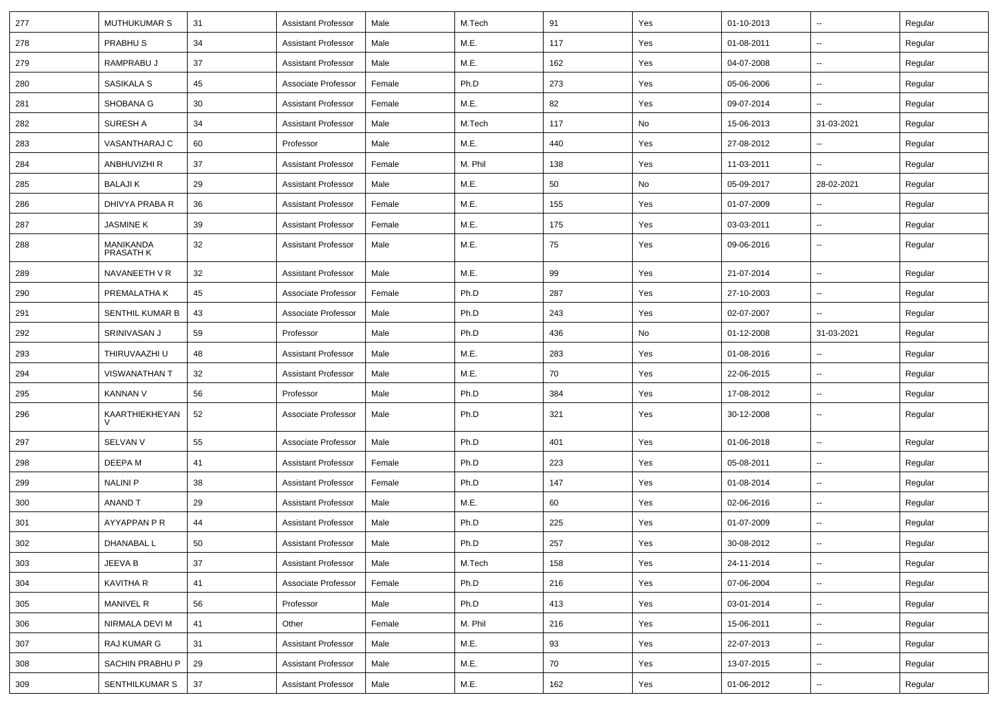| 277 | MUTHUKUMAR S           | 31 | <b>Assistant Professor</b> | Male   | M.Tech  | 91  | Yes | 01-10-2013 |                          | Regular |
|-----|------------------------|----|----------------------------|--------|---------|-----|-----|------------|--------------------------|---------|
| 278 | PRABHU <sub>S</sub>    | 34 | <b>Assistant Professor</b> | Male   | M.E.    | 117 | Yes | 01-08-2011 | $\sim$                   | Regular |
| 279 | RAMPRABU J             | 37 | <b>Assistant Professor</b> | Male   | M.E.    | 162 | Yes | 04-07-2008 |                          | Regular |
| 280 | SASIKALA S             | 45 | Associate Professor        | Female | Ph.D    | 273 | Yes | 05-06-2006 |                          | Regular |
| 281 | SHOBANA G              | 30 | <b>Assistant Professor</b> | Female | M.E.    | 82  | Yes | 09-07-2014 | $\sim$                   | Regular |
| 282 | SURESH A               | 34 | <b>Assistant Professor</b> | Male   | M.Tech  | 117 | No  | 15-06-2013 | 31-03-2021               | Regular |
| 283 | VASANTHARAJ C          | 60 | Professor                  | Male   | M.E.    | 440 | Yes | 27-08-2012 |                          | Regular |
| 284 | ANBHUVIZHI R           | 37 | <b>Assistant Professor</b> | Female | M. Phil | 138 | Yes | 11-03-2011 | $\sim$                   | Regular |
| 285 | <b>BALAJIK</b>         | 29 | <b>Assistant Professor</b> | Male   | M.E.    | 50  | No  | 05-09-2017 | 28-02-2021               | Regular |
| 286 | DHIVYA PRABA R         | 36 | <b>Assistant Professor</b> | Female | M.E.    | 155 | Yes | 01-07-2009 |                          | Regular |
| 287 | <b>JASMINE K</b>       | 39 | <b>Assistant Professor</b> | Female | M.E.    | 175 | Yes | 03-03-2011 | $\sim$                   | Regular |
| 288 | MANIKANDA<br>PRASATH K | 32 | <b>Assistant Professor</b> | Male   | M.E.    | 75  | Yes | 09-06-2016 |                          | Regular |
| 289 | NAVANEETH V R          | 32 | <b>Assistant Professor</b> | Male   | M.E.    | 99  | Yes | 21-07-2014 | Ξ.                       | Regular |
| 290 | PREMALATHA K           | 45 | Associate Professor        | Female | Ph.D    | 287 | Yes | 27-10-2003 | $\overline{\phantom{a}}$ | Regular |
| 291 | <b>SENTHIL KUMAR B</b> | 43 | Associate Professor        | Male   | Ph.D    | 243 | Yes | 02-07-2007 | $\sim$                   | Regular |
| 292 | SRINIVASAN J           | 59 | Professor                  | Male   | Ph.D    | 436 | No  | 01-12-2008 | 31-03-2021               | Regular |
| 293 | THIRUVAAZHI U          | 48 | <b>Assistant Professor</b> | Male   | M.E.    | 283 | Yes | 01-08-2016 |                          | Regular |
| 294 | VISWANATHAN T          | 32 | <b>Assistant Professor</b> | Male   | M.E.    | 70  | Yes | 22-06-2015 |                          | Regular |
| 295 | <b>KANNAN V</b>        | 56 | Professor                  | Male   | Ph.D    | 384 | Yes | 17-08-2012 | н.                       | Regular |
| 296 | KAARTHIEKHEYAN<br>V    | 52 | Associate Professor        | Male   | Ph.D    | 321 | Yes | 30-12-2008 | $\sim$                   | Regular |
| 297 | SELVAN V               | 55 | Associate Professor        | Male   | Ph.D    | 401 | Yes | 01-06-2018 | $\overline{\phantom{a}}$ | Regular |
| 298 | DEEPA M                | 41 | <b>Assistant Professor</b> | Female | Ph.D    | 223 | Yes | 05-08-2011 | $\sim$                   | Regular |
| 299 | NALINI P               | 38 | Assistant Professor        | Female | Ph.D    | 147 | Yes | 01-08-2014 | $\sim$                   | Regular |
| 300 | ANAND T                | 29 | <b>Assistant Professor</b> | Male   | M.E.    | 60  | Yes | 02-06-2016 |                          | Regular |
| 301 | AYYAPPAN P R           | 44 | <b>Assistant Professor</b> | Male   | Ph.D    | 225 | Yes | 01-07-2009 | $\sim$                   | Regular |
| 302 | DHANABAL L             | 50 | Assistant Professor        | Male   | Ph.D    | 257 | Yes | 30-08-2012 |                          | Regular |
| 303 | JEEVA B                | 37 | <b>Assistant Professor</b> | Male   | M.Tech  | 158 | Yes | 24-11-2014 | $\sim$                   | Regular |
| 304 | <b>KAVITHA R</b>       | 41 | Associate Professor        | Female | Ph.D    | 216 | Yes | 07-06-2004 | $\sim$                   | Regular |
| 305 | MANIVEL R              | 56 | Professor                  | Male   | Ph.D    | 413 | Yes | 03-01-2014 | $\sim$                   | Regular |
| 306 | NIRMALA DEVI M         | 41 | Other                      | Female | M. Phil | 216 | Yes | 15-06-2011 |                          | Regular |
| 307 | RAJ KUMAR G            | 31 | <b>Assistant Professor</b> | Male   | M.E.    | 93  | Yes | 22-07-2013 | н.                       | Regular |
| 308 | SACHIN PRABHU P        | 29 | <b>Assistant Professor</b> | Male   | M.E.    | 70  | Yes | 13-07-2015 | $\sim$                   | Regular |
| 309 | SENTHILKUMAR S         | 37 | <b>Assistant Professor</b> | Male   | M.E.    | 162 | Yes | 01-06-2012 | $\overline{\phantom{a}}$ | Regular |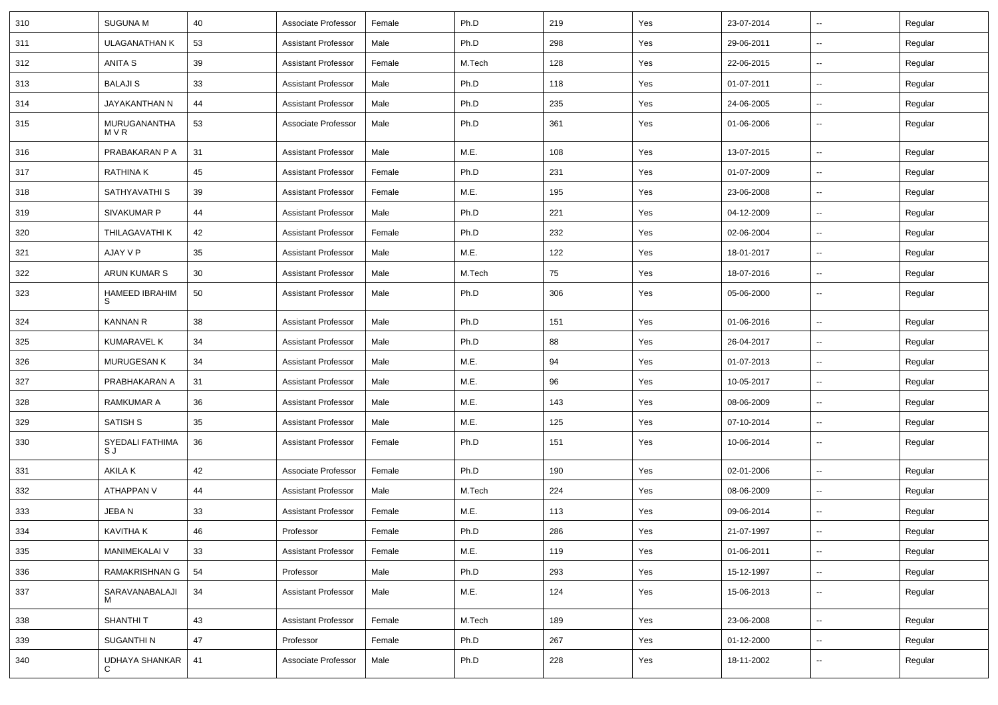| 310 | <b>SUGUNA M</b>            | 40 | Associate Professor        | Female | Ph.D   | 219 | Yes | 23-07-2014 | $\sim$                   | Regular |
|-----|----------------------------|----|----------------------------|--------|--------|-----|-----|------------|--------------------------|---------|
| 311 | <b>ULAGANATHAN K</b>       | 53 | <b>Assistant Professor</b> | Male   | Ph.D   | 298 | Yes | 29-06-2011 | н.                       | Regular |
| 312 | ANITA S                    | 39 | <b>Assistant Professor</b> | Female | M.Tech | 128 | Yes | 22-06-2015 | ⊷.                       | Regular |
| 313 | <b>BALAJIS</b>             | 33 | <b>Assistant Professor</b> | Male   | Ph.D   | 118 | Yes | 01-07-2011 | --                       | Regular |
| 314 | JAYAKANTHAN N              | 44 | <b>Assistant Professor</b> | Male   | Ph.D   | 235 | Yes | 24-06-2005 | н.                       | Regular |
| 315 | MURUGANANTHA<br>M V R      | 53 | Associate Professor        | Male   | Ph.D   | 361 | Yes | 01-06-2006 | $\sim$                   | Regular |
| 316 | PRABAKARAN P A             | 31 | <b>Assistant Professor</b> | Male   | M.E.   | 108 | Yes | 13-07-2015 | $\sim$                   | Regular |
| 317 | <b>RATHINAK</b>            | 45 | <b>Assistant Professor</b> | Female | Ph.D   | 231 | Yes | 01-07-2009 | $\sim$                   | Regular |
| 318 | SATHYAVATHI S              | 39 | <b>Assistant Professor</b> | Female | M.E.   | 195 | Yes | 23-06-2008 | н.                       | Regular |
| 319 | <b>SIVAKUMAR P</b>         | 44 | <b>Assistant Professor</b> | Male   | Ph.D   | 221 | Yes | 04-12-2009 | ⊷.                       | Regular |
| 320 | THILAGAVATHI K             | 42 | <b>Assistant Professor</b> | Female | Ph.D   | 232 | Yes | 02-06-2004 | --                       | Regular |
| 321 | AJAY V P                   | 35 | <b>Assistant Professor</b> | Male   | M.E.   | 122 | Yes | 18-01-2017 | -−                       | Regular |
| 322 | ARUN KUMAR S               | 30 | <b>Assistant Professor</b> | Male   | M.Tech | 75  | Yes | 18-07-2016 | $\sim$                   | Regular |
| 323 | <b>HAMEED IBRAHIM</b><br>S | 50 | <b>Assistant Professor</b> | Male   | Ph.D   | 306 | Yes | 05-06-2000 | $\sim$                   | Regular |
| 324 | <b>KANNAN R</b>            | 38 | <b>Assistant Professor</b> | Male   | Ph.D   | 151 | Yes | 01-06-2016 | $\sim$                   | Regular |
| 325 | <b>KUMARAVEL K</b>         | 34 | <b>Assistant Professor</b> | Male   | Ph.D   | 88  | Yes | 26-04-2017 | н.                       | Regular |
| 326 | MURUGESAN K                | 34 | <b>Assistant Professor</b> | Male   | M.E.   | 94  | Yes | 01-07-2013 | $\overline{\phantom{a}}$ | Regular |
| 327 | PRABHAKARAN A              | 31 | <b>Assistant Professor</b> | Male   | M.E.   | 96  | Yes | 10-05-2017 | --                       | Regular |
| 328 | <b>RAMKUMAR A</b>          | 36 | <b>Assistant Professor</b> | Male   | M.E.   | 143 | Yes | 08-06-2009 | -−                       | Regular |
| 329 | <b>SATISH S</b>            | 35 | <b>Assistant Professor</b> | Male   | M.E.   | 125 | Yes | 07-10-2014 | $\sim$                   | Regular |
| 330 | SYEDALI FATHIMA<br>S J     | 36 | <b>Assistant Professor</b> | Female | Ph.D   | 151 | Yes | 10-06-2014 | $\sim$                   | Regular |
| 331 | AKILA K                    | 42 | Associate Professor        | Female | Ph.D   | 190 | Yes | 02-01-2006 | $\overline{\phantom{a}}$ | Regular |
| 332 | ATHAPPAN V                 | 44 | <b>Assistant Professor</b> | Male   | M.Tech | 224 | Yes | 08-06-2009 | -−                       | Regular |
| 333 | JEBA N                     | 33 | <b>Assistant Professor</b> | Female | M.E.   | 113 | Yes | 09-06-2014 | ⊷.                       | Regular |
| 334 | <b>KAVITHA K</b>           | 46 | Professor                  | Female | Ph.D   | 286 | Yes | 21-07-1997 |                          | Regular |
| 335 | MANIMEKALAI V              | 33 | <b>Assistant Professor</b> | Female | M.E.   | 119 | Yes | 01-06-2011 | ц.                       | Regular |
| 336 | RAMAKRISHNAN G             | 54 | Professor                  | Male   | Ph.D   | 293 | Yes | 15-12-1997 | ц.                       | Regular |
| 337 | SARAVANABALAJI             | 34 | <b>Assistant Professor</b> | Male   | M.E.   | 124 | Yes | 15-06-2013 | Щ,                       | Regular |
| 338 | SHANTHI T                  | 43 | <b>Assistant Professor</b> | Female | M.Tech | 189 | Yes | 23-06-2008 | ц.                       | Regular |
| 339 | SUGANTHI N                 | 47 | Professor                  | Female | Ph.D   | 267 | Yes | 01-12-2000 | $\overline{\phantom{a}}$ | Regular |
| 340 | UDHAYA SHANKAR<br>C        | 41 | Associate Professor        | Male   | Ph.D   | 228 | Yes | 18-11-2002 | $\overline{\phantom{a}}$ | Regular |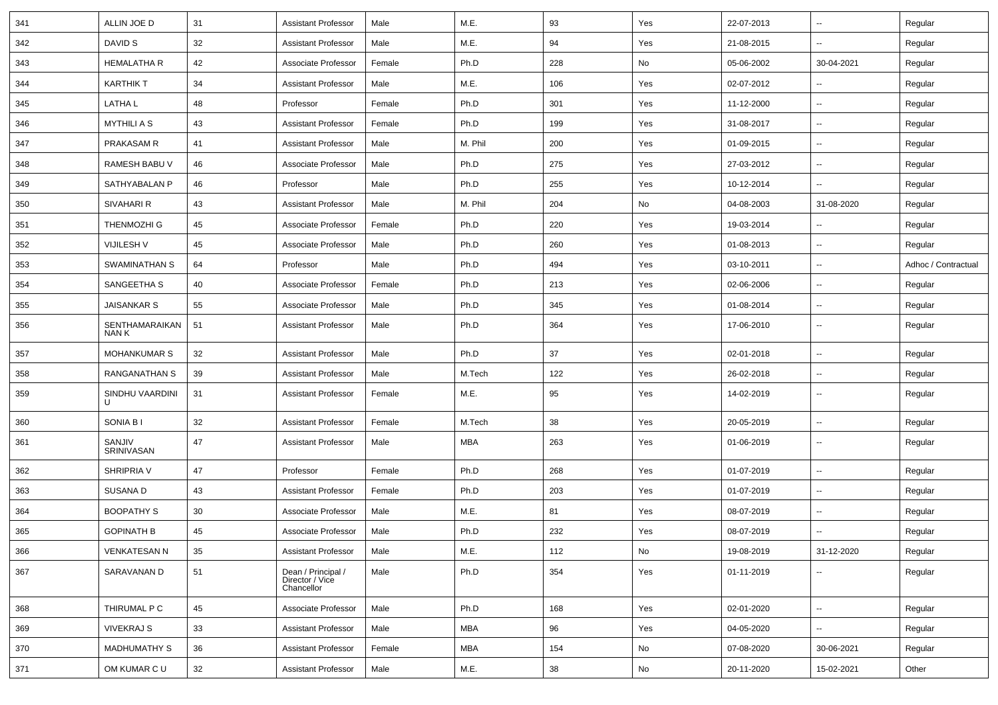| 341 | ALLIN JOE D             | 31 | <b>Assistant Professor</b>                          | Male   | M.E.       | 93  | Yes | 22-07-2013 | $\sim$                   | Regular             |
|-----|-------------------------|----|-----------------------------------------------------|--------|------------|-----|-----|------------|--------------------------|---------------------|
| 342 | DAVID S                 | 32 | <b>Assistant Professor</b>                          | Male   | M.E.       | 94  | Yes | 21-08-2015 | н.                       | Regular             |
| 343 | <b>HEMALATHA R</b>      | 42 | Associate Professor                                 | Female | Ph.D       | 228 | No  | 05-06-2002 | 30-04-2021               | Regular             |
| 344 | <b>KARTHIK T</b>        | 34 | <b>Assistant Professor</b>                          | Male   | M.E.       | 106 | Yes | 02-07-2012 |                          | Regular             |
| 345 | <b>LATHAL</b>           | 48 | Professor                                           | Female | Ph.D       | 301 | Yes | 11-12-2000 | н.                       | Regular             |
| 346 | <b>MYTHILI A S</b>      | 43 | <b>Assistant Professor</b>                          | Female | Ph.D       | 199 | Yes | 31-08-2017 | $\sim$                   | Regular             |
| 347 | PRAKASAM R              | 41 | <b>Assistant Professor</b>                          | Male   | M. Phil    | 200 | Yes | 01-09-2015 | ⊷.                       | Regular             |
| 348 | RAMESH BABU V           | 46 | Associate Professor                                 | Male   | Ph.D       | 275 | Yes | 27-03-2012 | −−                       | Regular             |
| 349 | SATHYABALAN P           | 46 | Professor                                           | Male   | Ph.D       | 255 | Yes | 10-12-2014 | $\sim$                   | Regular             |
| 350 | SIVAHARI R              | 43 | <b>Assistant Professor</b>                          | Male   | M. Phil    | 204 | No  | 04-08-2003 | 31-08-2020               | Regular             |
| 351 | THENMOZHI G             | 45 | Associate Professor                                 | Female | Ph.D       | 220 | Yes | 19-03-2014 |                          | Regular             |
| 352 | VIJILESH V              | 45 | Associate Professor                                 | Male   | Ph.D       | 260 | Yes | 01-08-2013 | ⊷.                       | Regular             |
| 353 | SWAMINATHAN S           | 64 | Professor                                           | Male   | Ph.D       | 494 | Yes | 03-10-2011 | −−                       | Adhoc / Contractual |
| 354 | SANGEETHA S             | 40 | Associate Professor                                 | Female | Ph.D       | 213 | Yes | 02-06-2006 | н.                       | Regular             |
| 355 | JAISANKAR S             | 55 | Associate Professor                                 | Male   | Ph.D       | 345 | Yes | 01-08-2014 | н.                       | Regular             |
| 356 | SENTHAMARAIKAN<br>NAN K | 51 | <b>Assistant Professor</b>                          | Male   | Ph.D       | 364 | Yes | 17-06-2010 | $\overline{\phantom{a}}$ | Regular             |
| 357 | <b>MOHANKUMAR S</b>     | 32 | <b>Assistant Professor</b>                          | Male   | Ph.D       | 37  | Yes | 02-01-2018 | ⊷.                       | Regular             |
| 358 | RANGANATHAN S           | 39 | <b>Assistant Professor</b>                          | Male   | M.Tech     | 122 | Yes | 26-02-2018 | -−                       | Regular             |
| 359 | SINDHU VAARDINI<br>U    | 31 | <b>Assistant Professor</b>                          | Female | M.E.       | 95  | Yes | 14-02-2019 | $\sim$                   | Regular             |
| 360 | SONIA B I               | 32 | <b>Assistant Professor</b>                          | Female | M.Tech     | 38  | Yes | 20-05-2019 | $\sim$                   | Regular             |
| 361 | SANJIV<br>SRINIVASAN    | 47 | <b>Assistant Professor</b>                          | Male   | <b>MBA</b> | 263 | Yes | 01-06-2019 | $\sim$                   | Regular             |
| 362 | SHRIPRIA V              | 47 | Professor                                           | Female | Ph.D       | 268 | Yes | 01-07-2019 | $\overline{\phantom{a}}$ | Regular             |
| 363 | SUSANA D                | 43 | <b>Assistant Professor</b>                          | Female | Ph.D       | 203 | Yes | 01-07-2019 | -−                       | Regular             |
| 364 | <b>BOOPATHY S</b>       | 30 | Associate Professor                                 | Male   | M.E.       | 81  | Yes | 08-07-2019 | ⊷.                       | Regular             |
| 365 | <b>GOPINATH B</b>       | 45 | Associate Professor                                 | Male   | Ph.D       | 232 | Yes | 08-07-2019 |                          | Regular             |
| 366 | <b>VENKATESAN N</b>     | 35 | <b>Assistant Professor</b>                          | Male   | M.E.       | 112 | No  | 19-08-2019 | 31-12-2020               | Regular             |
| 367 | SARAVANAN D             | 51 | Dean / Principal /<br>Director / Vice<br>Chancellor | Male   | Ph.D       | 354 | Yes | 01-11-2019 | --                       | Regular             |
| 368 | THIRUMAL P C            | 45 | Associate Professor                                 | Male   | Ph.D       | 168 | Yes | 02-01-2020 | ш.                       | Regular             |
| 369 | <b>VIVEKRAJ S</b>       | 33 | <b>Assistant Professor</b>                          | Male   | <b>MBA</b> | 96  | Yes | 04-05-2020 | ш.                       | Regular             |
| 370 | <b>MADHUMATHY S</b>     | 36 | <b>Assistant Professor</b>                          | Female | MBA        | 154 | No  | 07-08-2020 | 30-06-2021               | Regular             |
| 371 | OM KUMAR C U            | 32 | <b>Assistant Professor</b>                          | Male   | M.E.       | 38  | No  | 20-11-2020 | 15-02-2021               | Other               |